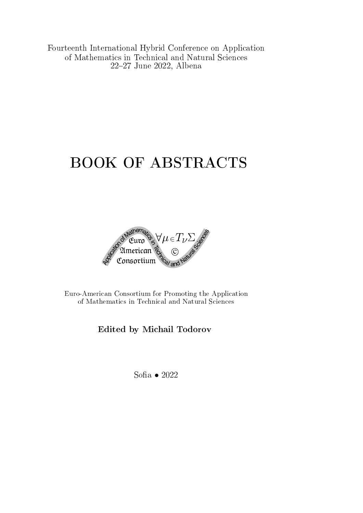Fourteenth International Hybrid Conference on Application of Mathematics in Technical and Natural Sciences 2227 June 2022, Albena

# BOOK OF ABSTRACTS



Euro-American Consortium for Promoting the Application of Mathematics in Technical and Natural Sciences

Edited by Michail Todorov

Sofia • 2022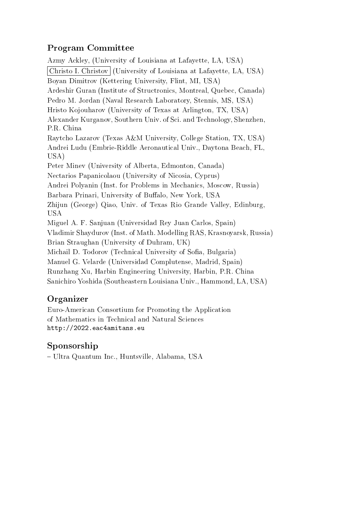# Program Committee

Azmy Ackley, (University of Louisiana at Lafayette, LA, USA) Christo I. Christov (University of Louisiana at Lafayette, LA, USA) Boyan Dimitrov (Kettering University, Flint, MI, USA) Ardeshir Guran (Institute of Structronics, Montreal, Quebec, Canada) Pedro M. Jordan (Naval Research Laboratory, Stennis, MS, USA) Hristo Kojouharov (University of Texas at Arlington, TX, USA) Alexander Kurganov, Southern Univ. of Sci. and Technology, Shenzhen, P.R. China Raytcho Lazarov (Texas A&M University, College Station, TX, USA) Andrei Ludu (Embrie-Riddle Aeronautical Univ., Daytona Beach, FL, USA) Peter Minev (University of Alberta, Edmonton, Canada) Nectarios Papanicolaou (University of Nicosia, Cyprus) Andrei Polyanin (Inst. for Problems in Mechanics, Moscow, Russia) Barbara Prinari, University of Buffalo, New York, USA Zhijun (George) Qiao, Univ. of Texas Rio Grande Valley, Edinburg, USA Miguel A. F. Sanjuan (Universidad Rey Juan Carlos, Spain) Vladimir Shaydurov (Inst. of Math. Modelling RAS, Krasnoyarsk, Russia) Brian Straughan (University of Duhram, UK) Michail D. Todorov (Technical University of Sofia, Bulgaria) Manuel G. Velarde (Universidad Complutense, Madrid, Spain) Runzhang Xu, Harbin Engineering University, Harbin, P.R. China Sanichiro Yoshida (Southeastern Louisiana Univ., Hammond, LA, USA)

# Organizer

Euro-American Consortium for Promoting the Application of Mathematics in Technical and Natural Sciences http://2022.eac4amitans.eu

# Sponsorship

Ultra Quantum Inc., Huntsville, Alabama, USA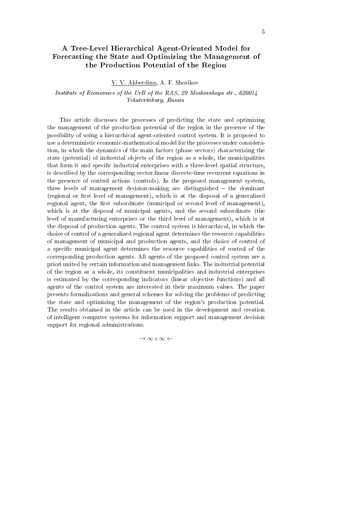# A Tree-Level Hierarchical Agent-Oriented Model for Forecasting the State and Optimizing the Management of the Production Potential of the Region

V. V. Akberdina, A. F. Shorikov

Institute of Economics of the UrB of the RAS, 29 Moskovskaya str., 620014 Yekaterinburg, Russia

This article discusses the processes of predicting the state and optimizing the management of the production potential of the region in the presence of the possibility of using a hierarchical agent-oriented control system. It is proposed to use a deterministic economic-mathematical model for the processes under consideration, in which the dynamics of the main factors (phase vectors) characterizing the state (potential) of industrial objects of the region as a whole, the municipalities that form it and specific industrial enterprises with a three-level spatial structure, is described by the corresponding vector linear discrete-time recurrent equations in the presence of control actions (controls). In the proposed management system, three levels of management decision-making are distinguished  $-$  the dominant (regional or first level of management), which is at the disposal of a generalized regional agent, the first subordinate (municipal or second level of management), which is at the disposal of municipal agents, and the second subordinate (the level of manufacturing enterprises or the third level of management), which is at the disposal of production agents. The control system is hierarchical, in which the choice of control of a generalized regional agent determines the resource capabilities of management of municipal and production agents, and the choice of control of a specific municipal agent determines the resource capabilities of control of the corresponding production agents. All agents of the proposed control system are a priori united by certain information and management links. The industrial potential of the region as a whole, its constituent municipalities and industrial enterprises is estimated by the corresponding indicators (linear objective functions) and all agents of the control system are interested in their maximum values. The paper presents formalizations and general schemes for solving the problems of predicting the state and optimizing the management of the region's production potential. The results obtained in the article can be used in the development and creation of intelligent computer systems for information support and management decision support for regional administrations.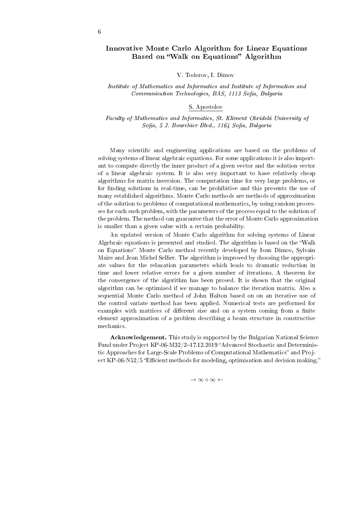# Innovative Monte Carlo Algorithm for Linear Equations Based on "Walk on Equations" Algorithm

#### V. Todorov, I. Dimov

#### Institute of Mathematics and Informatics and Institute of Information and Communication Technologies, BAS, 1113 Sofia, Bulgaria

#### S. Apostolov

Faculty of Mathematics and Informatics, St. Kliment Ohridski University of Sofia, 5 J. Bourchier Blvd., 1164 Sofia, Bulgaria

Many scientific and engineering applications are based on the problems of solving systems of linear algebraic equations. For some applications it is also important to compute directly the inner product of a given vector and the solution vector of a linear algebraic system. It is also very important to have relatively cheap algorithms for matrix inversion. The computation time for very large problems, or for finding solutions in real-time, can be prohibitive and this prevents the use of many established algorithms. Monte Carlo methods are methods of approximation of the solution to problems of computational mathematics, by using random processes for each such problem, with the parameters of the process equal to the solution of the problem. The method can guarantee that the error of Monte Carlo approximation is smaller than a given value with a certain probability.

An updated version of Monte Carlo algorithm for solving systems of Linear Algebraic equations is presented and studied. The algorithm is based on the Walk on Equations" Monte Carlo method recently developed by Ivan Dimov, Sylvain Maire and Jean Michel Sellier. The algorithm is improved by choosing the appropriate values for the relaxation parameters which leads to dramatic reduction in time and lower relative errors for a given number of iterations. A theorem for the convergence of the algorithm has been proved. It is shown that the original algorithm can be optimized if we manage to balance the iteration matrix. Also a sequential Monte Carlo method of John Halton based on on an iterative use of the control variate method has been applied. Numerical tests are performed for examples with matrices of different size and on a system coming from a finite element approximation of a problem describing a beam structure in constructive mechanics.

Acknowledgement. This study is supported by the Bulgarian National Science Fund under Project KP-06-M32/2-17.12.2019 "Advanced Stochastic and Deterministic Approaches for Large-Scale Problems of Computational Mathematics" and Project  $KP-06-N52/5$  "Efficient methods for modeling, optimization and decision making."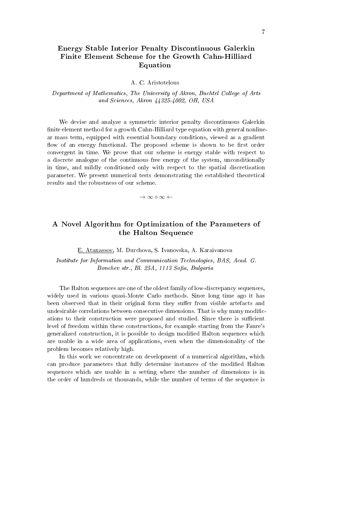# Energy Stable Interior Penalty Discontinuous Galerkin Finite Element Scheme for the Growth Cahn-Hilliard Equation

#### A. C. Aristotelous

#### Department of Mathematics, The University of Akron, Buchtel College of Arts and Sciences, Akron 44325-4002, OH, USA

We devise and analyze a symmetric interior penalty discontinuous Galerkin finite element method for a growth Cahn-Hilliard type equation with general nonlinear mass term, equipped with essential boundary conditions, viewed as a gradient flow of an energy functional. The proposed scheme is shown to be first order convergent in time. We prove that our scheme is energy stable with respect to a discrete analogue of the continuous free energy of the system, unconditionally in time, and mildly conditioned only with respect to the spatial discretization parameter. We present numerical tests demonstrating the established theoretical results and the robustness of our scheme.

*→ ∞ ⋄ ∞ ←*

# A Novel Algorithm for Optimization of the Parameters of the Halton Sequence

E. Atanassov, M. Durchova, S. Ivanovska, A. Karaivanova

Institute for Information and Communication Technologies, BAS, Acad. G. Bonchev str., Bl. 25A, 1113 Sofia, Bulgaria

The Halton sequences are one of the oldest family of low-discrepancy sequences, widely used in various quasi-Monte Carlo methods. Since long time ago it has been observed that in their original form they suffer from visible artefacts and undesirable correlations between consecutive dimensions. That is why many modications to their construction were proposed and studied. Since there is sufficient level of freedom within these constructions, for example starting from the Faure's generalized construction, it is possible to design modified Halton sequences which are usable in a wide area of applications, even when the dimensionality of the problem becomes relatively high.

In this work we concentrate on development of a numerical algorithm, which can produce parameters that fully determine instances of the modied Halton sequences which are usable in a setting where the number of dimensions is in the order of hundreds or thousands, while the number of terms of the sequence is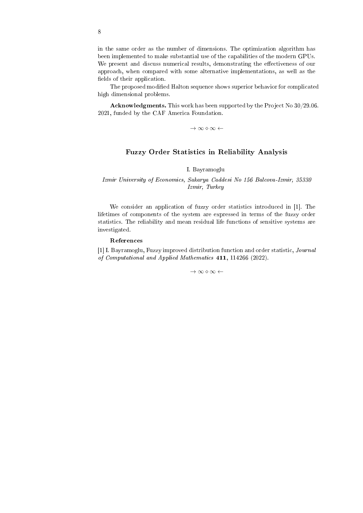in the same order as the number of dimensions. The optimization algorithm has been implemented to make substantial use of the capabilities of the modern GPUs. We present and discuss numerical results, demonstrating the effectiveness of our approach, when compared with some alternative implementations, as well as the fields of their application.

The proposed modified Halton sequence shows superior behavior for complicated high dimensional problems.

Acknowledgments. This work has been supported by the Project No 30/29.06. 2021, funded by the CAF America Foundation.

*→ ∞ ⋄ ∞ ←*

# Fuzzy Order Statistics in Reliability Analysis

I. Bayramoglu

#### Izmir University of Economics, Sakarya Caddesi No 156 Balcova-Izmir, 35330 Izmir, Turkey

We consider an application of fuzzy order statistics introduced in [1]. The lifetimes of components of the system are expressed in terms of the fuzzy order statistics. The reliability and mean residual life functions of sensitive systems are investigated.

#### References

[1] I. Bayramoglu, Fuzzy improved distribution function and order statistic, Journal of Computational and Applied Mathematics 411, 114266 (2022).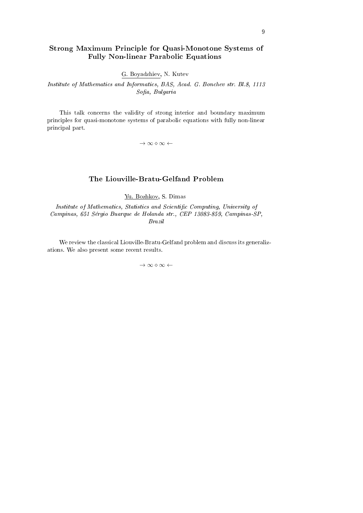# Strong Maximum Principle for Quasi-Monotone Systems of Fully Non-linear Parabolic Equations

G. Boyadzhiev, N. Kutev

Institute of Mathematics and Informatics, BAS, Acad. G. Bonchev str. Bl.8, 1113 Sofia, Bulgaria

This talk concerns the validity of strong interior and boundary maximum principles for quasi-monotone systems of parabolic equations with fully non-linear principal part.

*→ ∞ ⋄ ∞ ←*

# The Liouville-Bratu-Gelfand Problem

Yu. Bozhkov, S. Dimas

Institute of Mathematics, Statistics and Scientific Computing, University of Campinas, 651 Sergio Buarque de Holanda str., CEP 13083-859, Campinas-SP, Brazil

We review the classical Liouville-Bratu-Gelfand problem and discuss its generalizations. We also present some recent results.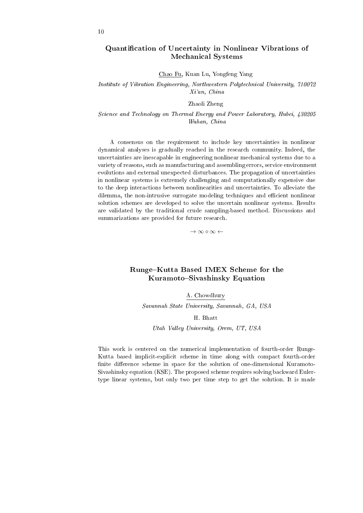# Quantification of Uncertainty in Nonlinear Vibrations of Mechanical Systems

Chao Fu, Kuan Lu, Yongfeng Yang

Institute of Vibration Engineering, Northwestern Polytechnical University, 710072 Xi'an, China

Zhaoli Zheng

Science and Technology on Thermal Energy and Power Laboratory, Hubei, 430205 Wuhan, China

A consensus on the requirement to include key uncertainties in nonlinear dynamical analyses is gradually reached in the research community. Indeed, the uncertainties are inescapable in engineering nonlinear mechanical systems due to a variety of reasons, such as manufacturing and assembling errors, service environment evolutions and external unexpected disturbances. The propagation of uncertainties in nonlinear systems is extremely challenging and computationally expensive due to the deep interactions between nonlinearities and uncertainties. To alleviate the dilemma, the non-intrusive surrogate modeling techniques and efficient nonlinear solution schemes are developed to solve the uncertain nonlinear systems. Results are validated by the traditional crude sampling-based method. Discussions and summarizations are provided for future research.

*→ ∞ ⋄ ∞ ←*

# Runge-Kutta Based IMEX Scheme for the Kuramoto-Sivashinsky Equation

A. Chowdhury

Savannah State University, Savannah, GA, USA

#### H. Bhatt

Utah Valley University, Orem, UT, USA

This work is centered on the numerical implementation of fourth-order Runge-Kutta based implicit-explicit scheme in time along with compact fourth-order finite difference scheme in space for the solution of one-dimensional Kuramoto-Sivashinsky equation (KSE). The proposed scheme requires solving backward Eulertype linear systems, but only two per time step to get the solution. It is made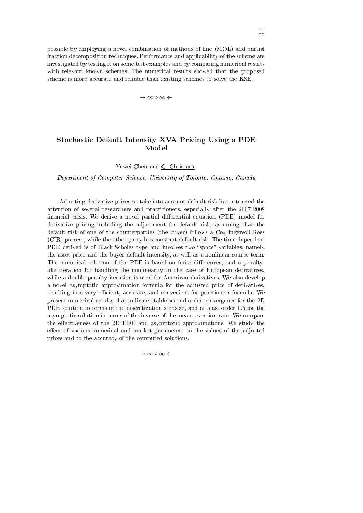possible by employing a novel combination of methods of line (MOL) and partial fraction decomposition techniques. Performance and applicability of the scheme are investigated by testing it on some test examples and by comparing numerical results with relevant known schemes. The numerical results showed that the proposed scheme is more accurate and reliable than existing schemes to solve the KSE.

*→ ∞ ⋄ ∞ ←*

# Stochastic Default Intensity XVA Pricing Using a PDE Model

Yuwei Chen and C. Christara

Department of Computer Science, University of Toronto, Ontario, Canada

Adjusting derivative prices to take into account default risk has attracted the attention of several researchers and practitioners, especially after the 2007-2008 financial crisis. We derive a novel partial differential equation (PDE) model for derivative pricing including the adjustment for default risk, assuming that the default risk of one of the counterparties (the buyer) follows a Cox-Ingersoll-Ross (CIR) process, while the other party has constant default risk. The time-dependent PDE derived is of Black-Scholes type and involves two "space" variables, namely the asset price and the buyer default intensity, as well as a nonlinear source term. The numerical solution of the PDE is based on finite differences, and a penaltylike iteration for handling the nonlinearity in the case of European derivatives, while a double-penalty iteration is used for American derivatives. We also develop a novel asymptotic approximation formula for the adjusted price of derivatives, resulting in a very efficient, accurate, and convenient for practioners formula. We present numerical results that indicate stable second order convergence for the 2D PDE solution in terms of the discretization stepsize, and at least order 1.5 for the asymptotic solution in terms of the inverse of the mean reversion rate. We compare the effectiveness of the 2D PDE and asymptotic approximations. We study the effect of various numerical and market parameters to the values of the adjusted prices and to the accuracy of the computed solutions.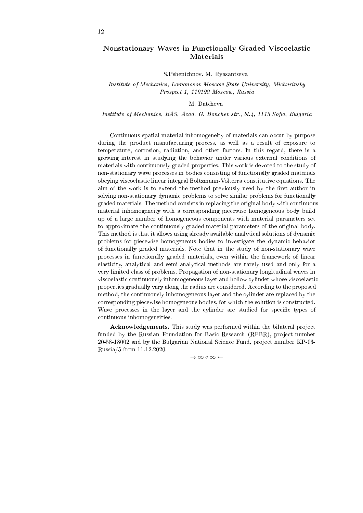# Nonstationary Waves in Functionally Graded Viscoelastic Materials

S.Pshenichnov, M. Ryazantseva

Institute of Mechanics, Lomonosov Moscow State University, Michurinsky Prospect 1, 119192 Moscow, Russia

#### M. Datcheva

Institute of Mechanics, BAS, Acad. G. Bonchev str., bl.4, 1113 Sofia, Bulgaria

Continuous spatial material inhomogeneity of materials can occur by purpose during the product manufacturing process, as well as a result of exposure to temperature, corrosion, radiation, and other factors. In this regard, there is a growing interest in studying the behavior under various external conditions of materials with continuously graded properties. This work is devoted to the study of non-stationary wave processes in bodies consisting of functionally graded materials obeying viscoelastic linear integral Boltzmann-Volterra constitutive equations. The aim of the work is to extend the method previously used by the first author in solving non-stationary dynamic problems to solve similar problems for functionally graded materials. The method consists in replacing the original body with continuous material inhomogeneity with a corresponding piecewise homogeneous body build up of a large number of homogeneous components with material parameters set to approximate the continuously graded material parameters of the original body. This method is that it allows using already available analytical solutions of dynamic problems for piecewise homogeneous bodies to investigate the dynamic behavior of functionally graded materials. Note that in the study of non-stationary wave processes in functionally graded materials, even within the framework of linear elasticity, analytical and semi-analytical methods are rarely used and only for a very limited class of problems. Propagation of non-stationary longitudinal waves in viscoelastic continuously inhomogeneous layer and hollow cylinder whose viscoelastic properties gradually vary along the radius are considered. According to the proposed method, the continuously inhomogeneous layer and the cylinder are replaced by the corresponding piecewise homogeneous bodies, for which the solution is constructed. Wave processes in the layer and the cylinder are studied for specific types of continuous inhomogeneities.

Acknowledgements. This study was performed within the bilateral project funded by the Russian Foundation for Basic Research (RFBR), project number 20-58-18002 and by the Bulgarian National Science Fund, project number KP-06- Russia/5 from 11.12.2020.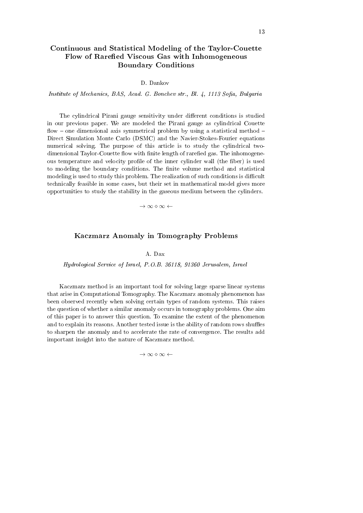# Continuous and Statistical Modeling of the Taylor-Couette Flow of Rarefied Viscous Gas with Inhomogeneous Boundary Conditions

D. Dankov

Institute of Mechanics, BAS, Acad. G. Bonchev str., Bl. 4, 1113 Sofia, Bulgaria

The cylindrical Pirani gauge sensitivity under different conditions is studied in our previous paper. We are modeled the Pirani gauge as cylindrical Couette flow  $-$  one dimensional axis symmetrical problem by using a statistical method  $-$ Direct Simulation Monte Carlo (DSMC) and the Navier-Stokes-Fourier equations numerical solving. The purpose of this article is to study the cylindrical twodimensional Taylor-Couette flow with finite length of rarefied gas. The inhomogeneous temperature and velocity profile of the inner cylinder wall (the fiber) is used to modeling the boundary conditions. The finite volume method and statistical modeling is used to study this problem. The realization of such conditions is difficult technically feasible in some cases, but their set in mathematical model gives more opportunities to study the stability in the gaseous medium between the cylinders.

*→ ∞ ⋄ ∞ ←*

#### Kaczmarz Anomaly in Tomography Problems

A. Dax

Hydrological Service of Israel, P.O.B. 36118, 91360 Jerusalem, Israel

Kaczmarz method is an important tool for solving large sparse linear systems that arise in Computational Tomography. The Kaczmarz anomaly phenomenon has been observed recently when solving certain types of random systems. This raises the question of whether a similar anomaly occurs in tomography problems. One aim of this paper is to answer this question. To examine the extent of the phenomenon and to explain its reasons. Another tested issue is the ability of random rows shuffles to sharpen the anomaly and to accelerate the rate of convergence. The results add important insight into the nature of Kaczmarz method.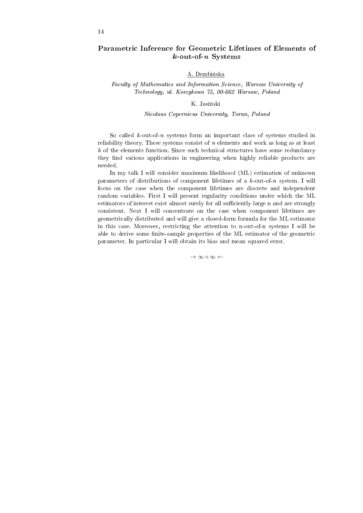# Parametric Inference for Geometric Lifetimes of Elements of  $k$ -out-of-n Systems

#### A. Dembinska

Faculty of Mathematics and Information Science, Warsaw University of Technology, ul. Koszykowa 75, 00-662 Warsaw, Poland

#### K. Jasinski

#### Nicolaus Copernicus University, Torun, Poland

So called  $k$ -out-of-n systems form an important class of systems studied in reliability theory. These systems consist of  $n$  elements and work as long as at least  $k$  of the elements function. Since such technical structures have some redundancy they find various applications in engineering when highly reliable products are needed.

In my talk I will consider maximum likelihood (ML) estimation of unknown parameters of distributions of component lifetimes of a k-out-of-n system. I will focus on the case when the component lifetimes are discrete and independent random variables. First I will present regularity conditions under which the ML estimators of interest exist almost surely for all sufficiently large n and are strongly consistent. Next I will concentrate on the case when component lifetimes are geometrically distributed and will give a closed-form formula for the ML estimator in this case. Moreover, restricting the attention to n-out-of-n systems I will be able to derive some finite-sample properties of the ML estimator of the geometric parameter. In particular I will obtain its bias and mean squared error.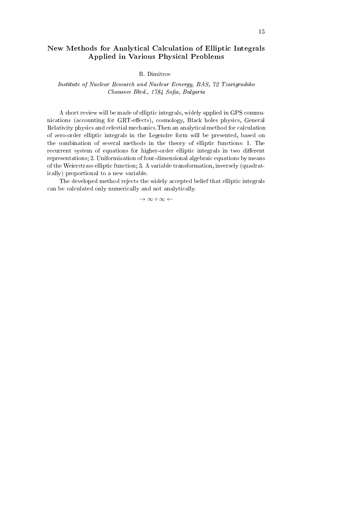# New Methods for Analytical Calculation of Elliptic Integrals Applied in Various Physical Problems

B. Dimitrov

#### Institute of Nuclear Research and Nuclear Eenergy, BAS, 72 Tzarigradsko Chaussee Blvd., 1784 Sofia, Bulgaria

A short review will be made of elliptic integrals, widely applied in GPS communications (accounting for GRT-effects), cosmology, Black holes physics, General Relativity physics and celestial mechanics.Then an analytical method for calculation of zero-order elliptic integrals in the Legendre form will be presented, based on the combination of several methods in the theory of elliptic functions: 1. The recurrent system of equations for higher-order elliptic integrals in two different representations; 2. Uniformization of four-dimensional algebraic equations by means of the Weierstrass elliptic function; 3. A variable transformation, inversely (quadratically) proportional to a new variable.

The developed method rejects the widely accepted belief that elliptic integrals can be calculated only numerically and not analytically.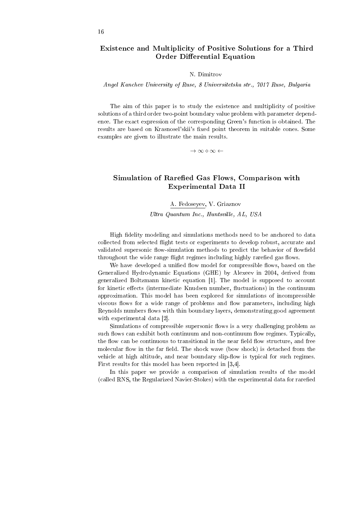# Existence and Multiplicity of Positive Solutions for a Third Order Differential Equation

#### N. Dimitrov

Angel Kanchev University of Ruse, 8 Universitetska str., 7017 Ruse, Bulgaria

The aim of this paper is to study the existence and multiplicity of positive solutions of a third order two-point boundary value problem with parameter dependence. The exact expression of the corresponding Green's function is obtained. The results are based on Krasnosel'skii's fixed point theorem in suitable cones. Some examples are given to illustrate the main results.

*→ ∞ ⋄ ∞ ←*

# Simulation of Rarefied Gas Flows, Comparison with Experimental Data II

A. Fedoseyev, V. Griaznov

Ultra Quantum Inc., Huntsville, AL, USA

High fidelity modeling and simulations methods need to be anchored to data collected from selected flight tests or experiments to develop robust, accurate and validated supersonic flow-simulation methods to predict the behavior of flowfield throughout the wide range flight regimes including highly rarefied gas flows.

We have developed a unified flow model for compressible flows, based on the Generalized Hydrodynamic Equations (GHE) by Alexeev in 2004, derived from generalized Boltzmann kinetic equation [1]. The model is supposed to account for kinetic effects (intermediate Knudsen number, fluctuations) in the continuum approximation. This model has been explored for simulations of incompressible viscous flows for a wide range of problems and flow parameters, including high Reynolds numbers flows with thin boundary layers, demonstrating good agreement with experimental data [2].

Simulations of compressible supersonic flows is a very challenging problem as such flows can exhibit both continuum and non-continuum flow regimes. Typically, the flow can be continuous to transitional in the near field flow structure, and free molecular flow in the far field. The shock wave (bow shock) is detached from the vehicle at high altitude, and near boundary slip-flow is typical for such regimes. First results for this model has been reported in [3,4].

In this paper we provide a comparison of simulation results of the model (called RNS, the Regularized Navier-Stokes) with the experimental data for rarefied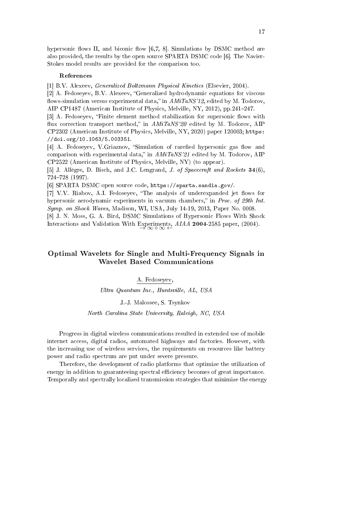hypersonic flows II, and biconic flow  $[6,7, 8]$ . Simulations by DSMC method are also provided, the results by the open source SPARTA DSMC code [6]. The Navier-Stokes model results are provided for the comparison too.

#### References

[1] B.V. Alexeev, Generalized Boltzmann Physical Kinetics (Elsevier, 2004).

[2] A. Fedoseyev, B.V. Alexeev, "Generalized hydrodynamic equations for viscous flows-simulation versus experimental data," in  $AMiTaNS'12$ , edited by M. Todorov, AIP CP1487 (American Institute of Physics, Melville, NY, 2012), pp.241-247.

[3] A. Fedoseyev, "Finite element method stabilization for supersonic flows with flux correction transport method," in  $AMiTaNS'20$  edited by M. Todorov, AIP CP2302 (American Institute of Physics, Melville, NY, 2020) paper 120003; https: //doi.org/10.1063/5.003351.

[4] A. Fedoseyev, V.Griaznov, "Simulation of rarefied hypersonic gas flow and comparison with experimental data," in  $AMiTaNS'21$  edited by M. Todorov, AIP CP2522 (American Institute of Physics, Melville, NY) (to appear).

[5] J. Allegre, D. Bisch, and J.C. Lengrand, J. of Spacecraft and Rockets 34(6), 724728 (1997).

[6] SPARTA DSMC open source code, https://sparta.sandia.gov/.

[7] V.V. Riabov, A.I. Fedoseyev, "The analysis of underexpanded jet flows for hypersonic aerodynamic experiments in vacuum chambers," in Proc. of 29th Int. Symp. on Shock Waves, Madison, WI, USA, July 14-19, 2013, Paper No. 0008.

[8] J. N. Moss, G. A. Bird, DSMC Simulations of Hypersonic Flows With Shock Interactions and Validation With Experiments,  $AIAA$  2004-2585 paper, (2004).

# Optimal Wavelets for Single and Multi-Frequency Signals in Wavelet Based Communications

#### A. Fedoseyev,

Ultra Quantum Inc., Huntsville, AL, USA

J.-J. Malossee, S. Tsynkov

#### North Carolina State University, Raleigh, NC, USA

Progress in digital wireless communications resulted in extended use of mobile internet access, digital radios, automated highways and factories. However, with the increasing use of wireless services, the requirements on resources like battery power and radio spectrum are put under severe pressure.

Therefore, the development of radio platforms that optimize the utilization of energy in addition to guaranteeing spectral efficiency becomes of great importance. Temporally and spectrally localized transmission strategies that minimize the energy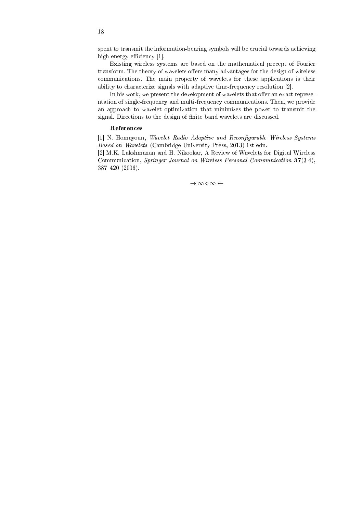spent to transmit the information-bearing symbols will be crucial towards achieving high energy efficiency  $[1]$ .

Existing wireless systems are based on the mathematical precept of Fourier transform. The theory of wavelets offers many advantages for the design of wireless communications. The main property of wavelets for these applications is their ability to characterize signals with adaptive time-frequency resolution [2].

In his work, we present the development of wavelets that offer an exact representation of single-frequency and multi-frequency communications. Then, we provide an approach to wavelet optimization that minimizes the power to transmit the signal. Directions to the design of finite band wavelets are discussed.

#### References

[1] N. Homayoun, Wavelet Radio Adaptive and Reconfigurable Wireless Systems Based on Wavelets (Cambridge University Press, 2013) 1st edn.

[2] M.K. Lakshmanan and H. Nikookar, A Review of Wavelets for Digital Wireless Communication, Springer Journal on Wireless Personal Communication 37(3-4), 387420 (2006).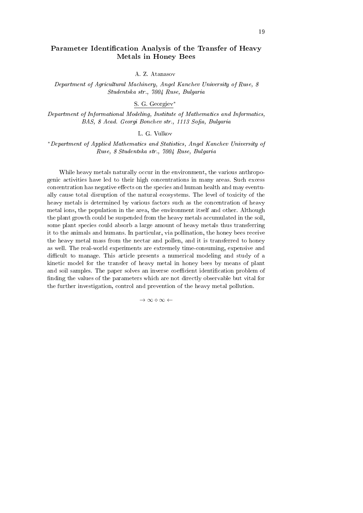# Parameter Identification Analysis of the Transfer of Heavy Metals in Honey Bees

A. Z. Atanasov

Department of Agricultural Machinery, Angel Kanchev University of Ruse, 8 Studentska str., 7004 Ruse, Bulgaria

S. G. Georgiev*<sup>∗</sup>*

Department of Informational Modeling, Institute of Mathematics and Informatics, BAS, 8 Acad. Georgi Bonchev str., 1113 Sofia, Bulgaria

L. G. Vulkov

*<sup>∗</sup>*Department of Applied Mathematics and Statistics, Angel Kanchev University of Ruse, 8 Studentska str., 7004 Ruse, Bulgaria

While heavy metals naturally occur in the environment, the various anthropogenic activities have led to their high concentrations in many areas. Such excess concentration has negative effects on the species and human health and may eventually cause total disruption of the natural ecosystems. The level of toxicity of the heavy metals is determined by various factors such as the concentration of heavy metal ions, the population in the area, the environment itself and other. Although the plant growth could be suspended from the heavy metals accumulated in the soil, some plant species could absorb a large amount of heavy metals thus transferring it to the animals and humans. In particular, via pollination, the honey bees receive the heavy metal mass from the nectar and pollen, and it is transferred to honey as well. The real-world experiments are extremely time-consuming, expensive and difficult to manage. This article presents a numerical modeling and study of a kinetic model for the transfer of heavy metal in honey bees by means of plant and soil samples. The paper solves an inverse coefficient identification problem of finding the values of the parameters which are not directly observable but vital for the further investigation, control and prevention of the heavy metal pollution.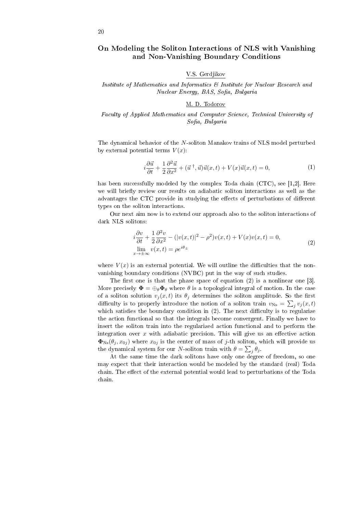# On Modeling the Soliton Interactions of NLS with Vanishing and Non-Vanishing Boundary Conditions

#### V.S. Gerdjikov

Institute of Mathematics and Informatics & Institute for Nuclear Research and Nuclear Energy, BAS, Sofia, Bulgaria

#### M. D. Todorov

#### Faculty of Applied Mathematics and Computer Science, Technical University of Sofia, Bulgaria

The dynamical behavior of the *N*-soliton Manakov trains of NLS model perturbed by external potential terms  $V(x)$ :

$$
i\frac{\partial \vec{u}}{\partial t} + \frac{1}{2} \frac{\partial^2 \vec{u}}{\partial x^2} + (\vec{u}^\dagger, \vec{u}) \vec{u}(x, t) + V(x) \vec{u}(x, t) = 0,\tag{1}
$$

has been successfully modeled by the complex Toda chain (CTC), see [1,2]. Here we will briefly review our results on adiabatic soliton interactions as well as the advantages the CTC provide in studying the effects of perturbations of different types on the soliton interactions.

Our next aim now is to extend our approach also to the soliton interactions of dark NLS solitons:

$$
i\frac{\partial v}{\partial t} + \frac{1}{2}\frac{\partial^2 v}{\partial x^2} - (|v(x,t)|^2 - \rho^2)v(x,t) + V(x)v(x,t) = 0,
$$
  
\n
$$
\lim_{x \to \pm \infty} v(x,t) = \rho e^{i\theta_{\pm}}
$$
\n(2)

where  $V(x)$  is an external potential. We will outline the difficulties that the nonvanishing boundary conditions (NVBC) put in the way of such studies.

The first one is that the phase space of equation  $(2)$  is a nonlinear one [3]. More precisely  $\Phi = \bigoplus_{\theta} \Phi_{\theta}$  where  $\theta$  is a topological integral of motion. In the case of a soliton solution  $v_j(x,t)$  its  $\theta_j$  determines the soliton amplitude. So the first difficulty is to properly introduce the notion of a soliton train  $v_{\text{Ns}} = \sum_j v_j(x, t)$ which satisfies the boundary condition in  $(2)$ . The next difficulty is to regularize the action functional so that the integrals become convergent. Finally we have to insert the soliton train into the regularized action functional and to perform the integration over  $x$  with adiabatic precision. This will give us an effective action  $\Phi_{\text{Ns}}(\theta_j, x_{0j})$  where  $x_{0j}$  is the center of mass of *j*-th soliton, which will provide us the dynamical system for our *N*-soliton train with  $\theta = \sum_{j} \theta_{j}$ .

At the same time the dark solitons have only one degree of freedom, so one may expect that their interaction would be modeled by the standard (real) Toda chain. The effect of the external potential would lead to perturbations of the Toda chain.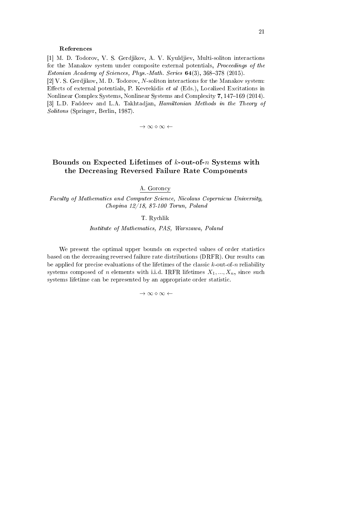#### References

[1] M. D. Todorov, V. S. Gerdjikov, A. V. Kyuldjiev, Multi-soliton interactions for the Manakov system under composite external potentials, Proceedings of the Estonian Academy of Sciences, Phys.-Math. Series  $64(3)$ , 368-378 (2015). [2] V. S. Gerdjikov, M. D. Todorov, *N*-soliton interactions for the Manakov system: Effects of external potentials, P. Kevrekidis et al  $(Eds.)$ , Localized Excitations in Nonlinear Complex Systems, Nonlinear Systems and Complexity 7, 147-169 (2014). [3] L.D. Faddeev and L.A. Takhtadjan, Hamiltonian Methods in the Theory of Solitons (Springer, Berlin, 1987).

*→ ∞ ⋄ ∞ ←*

# Bounds on Expected Lifetimes of *k*-out-of-*n* Systems with the Decreasing Reversed Failure Rate Components

A. Goroncy

Faculty of Mathematics and Computer Science, Nicolaus Copernicus University, Chopina 12/18, 87-100 Torun, Poland

T. Rychlik

Institute of Mathematics, PAS, Warszawa, Poland

We present the optimal upper bounds on expected values of order statistics based on the decreasing reversed failure rate distributions (DRFR). Our results can be applied for precise evaluations of the lifetimes of the classic *k*-out-of-*n* reliability systems composed of *n* elements with i.i.d. IRFR lifetimes  $X_1, ..., X_n$ , since such systems lifetime can be represented by an appropriate order statistic.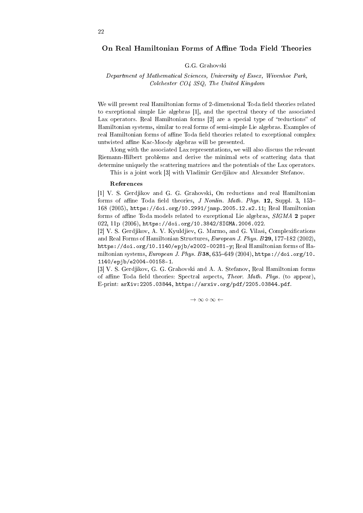#### On Real Hamiltonian Forms of Affine Toda Field Theories

#### G.G. Grahovski

#### Department of Mathematical Sciences, University of Essex, Wivenhoe Park, Colchester CO4 3SQ, The United Kingdom

We will present real Hamiltonian forms of 2-dimensional Toda field theories related to exceptional simple Lie algebras [1], and the spectral theory of the associated Lax operators. Real Hamiltonian forms  $[2]$  are a special type of "reductions" of Hamiltonian systems, similar to real forms of semi-simple Lie algebras. Examples of real Hamiltonian forms of affine Toda field theories related to exceptional complex untwisted affine Kac-Moody algebras will be presented.

Along with the associated Lax representations, we will also discuss the relevant Riemann-Hilbert problems and derive the minimal sets of scattering data that determine uniquely the scattering matrices and the potentials of the Lax operators.

This is a joint work [3] with Vladimir Gerdjikov and Alexander Stefanov.

#### References

[1] V. S. Gerdjikov and G. G. Grahovski, On reductions and real Hamiltonian forms of affine Toda field theories, J Nonlin. Math. Phys.  $12$ , Suppl. 3, 153-168 (2005), https://doi.org/10.2991/jnmp.2005.12.s2.11; Real Hamiltonian forms of affine Toda models related to exceptional Lie algebras, SIGMA 2 paper 022, 11p (2006), https://doi.org/10.3842/SIGMA.2006.022.

[2] V. S. Gerdjikov, A. V. Kyuldjiev, G. Marmo, and G. Vilasi, Complexifications and Real Forms of Hamiltonian Structures, European J. Phys. B  $29, 177-182$  (2002), https://doi.org/10.1140/epjb/e2002-00281-y; Real Hamiltonian forms of Hamiltonian systems, European J. Phys. B38, 635-649 (2004), https://doi.org/10. 1140/epjb/e2004-00158-1.

[3] V. S. Gerdjikov, G. G. Grahovski and A. A. Stefanov, Real Hamiltonian forms of affine Toda field theories: Spectral aspects, Theor. Math. Phys. (to appear), E-print: arXiv:2205.03844, https://arxiv.org/pdf/2205.03844.pdf.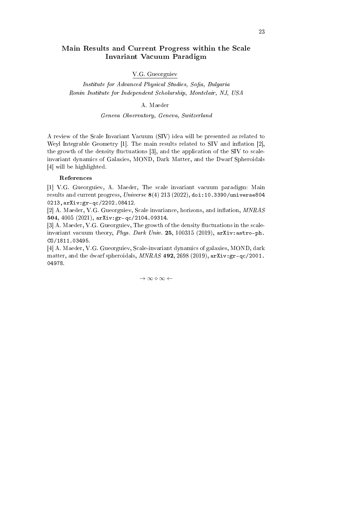# Main Results and Current Progress within the Scale Invariant Vacuum Paradigm

#### V.G. Gueorguiev

Institute for Advanced Physical Studies, Sofia, Bulgaria Ronin Institute for Independent Scholarship, Montclair, NJ, USA

#### A. Maeder

#### Geneva Observatory, Geneva, Switzerland

A review of the Scale Invariant Vacuum (SIV) idea will be presented as related to Weyl Integrable Geometry  $[1]$ . The main results related to SIV and inflation  $[2]$ , the growth of the density fluctuations  $[3]$ , and the application of the SIV to scaleinvariant dynamics of Galaxies, MOND, Dark Matter, and the Dwarf Spheroidals [4] will be highlighted.

#### References

[1] V.G. Gueorguiev, A. Maeder, The scale invariant vacuum paradigm: Main results and current progress,  $Universe 8(4) 213 (2022)$ , doi:10.3390/universe804 0213,arXiv:gr-qc/2202.08412.

[2] A. Maeder, V.G. Gueorguiev, Scale invariance, horizons, and inflation,  $MNRAS$ 504, 4005 (2021), arXiv:gr-qc/2104.09314.

[3] A. Maeder, V.G. Gueorguiev, The growth of the density fluctuations in the scaleinvariant vacuum theory, Phys. Dark Univ. 25, 100315 (2019),  $arXiv:astro-ph$ . CO/1811.03495.

[4] A. Maeder, V.G. Gueorguiev, Scale-invariant dynamics of galaxies, MOND, dark matter, and the dwarf spheroidals,  $MNRAS$  492, 2698 (2019), arXiv:gr-qc/2001. 04978.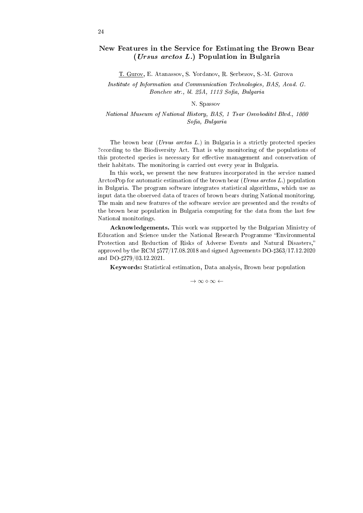# New Features in the Service for Estimating the Brown Bear (Ursus arctos L.) Population in Bulgaria

T. Gurov, E. Atanassov, S. Yordanov, R. Serbezov, S.-M. Gurova

Institute of Information and Communication Technologies, BAS, Acad. G. Bonchev str., bl. 25A, 1113 Sofia, Bulgaria

#### N. Spassov

National Museum of National History, BAS, 1 Tsar Osvoboditel Blvd., 1000 Sofia, Bulgaria

The brown bear (*Ursus arctos L.*) in Bulgaria is a strictly protected species ?ccording to the Biodiversity Act. That is why monitoring of the populations of this protected species is necessary for effective management and conservation of their habitats. The monitoring is carried out every year in Bulgaria.

In this work, we present the new features incorporated in the service named ArctosPop for automatic estimation of the brown bear (Ursus arctos L.) population in Bulgaria. The program software integrates statistical algorithms, which use as input data the observed data of traces of brown bears during National monitoring. The main and new features of the software service are presented and the results of the brown bear population in Bulgaria computing for the data from the last few National monitorings.

Acknowledgements. This work was supported by the Bulgarian Ministry of Education and Science under the National Research Programme Environmental Protection and Reduction of Risks of Adverse Events and Natural Disasters, approved by the RCM *♯*577/17.08.2018 and signed Agreements DO-*♯*363/17.12.2020 and DO-*♯*279/03.12.2021.

Keywords: Statistical estimation, Data analysis, Brown bear population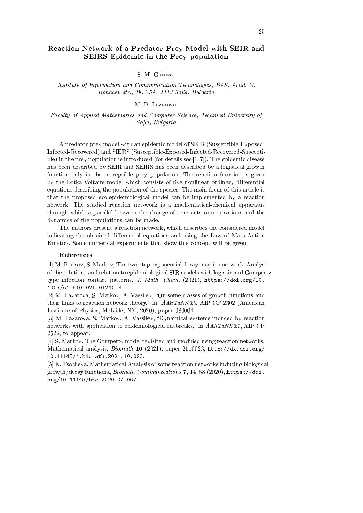# Reaction Network of a Predator-Prey Model with SEIR and SEIRS Epidemic in the Prey population

#### S.-M. Gurova

Institute of Information and Communication Technologies, BAS, Acad. G. Bonchev str., Bl. 25A, 1113 Sofia, Bulgaria

#### M. D. Lazarova

Faculty of Applied Mathematics and Computer Science, Technical University of  $Sofia, Bulgaria$ 

A predator-prey model with an epidemic model of SEIR (Susceptible-Exposed-Infected-Recovered) and SIERS (Susceptible-Exposed-Infected-Recovered-Susceptible) in the prey population is introduced (for details see [1-7]). The epidemic disease has been described by SEIR and SEIRS has been described by a logistical growth function only in the susceptible prey population. The reaction function is given by the Lotka-Voltaire model which consists of five nonlinear ordinary differential equations describing the population of the species. The main focus of this article is that the proposed eco-epidemiological model can be implemented by a reaction network. The studied reaction net-work is a mathematical-chemical apparatus through which a parallel between the change of reactants concentrations and the dynamics of the populations can be made.

The authors present a reaction network, which describes the considered model indicating the obtained differential equations and using the Law of Mass Action Kinetics. Some numerical experiments that show this concept will be given.

#### References

[1] M. Borisov, S. Markov, The two-step exponential decay reaction network: Analysis of the solutions and relation to epidemiological SIR models with logistic and Gompertz type infection contact patterns, J. Math. Chem. (2021), https://doi.org/10. 1007/s10910-021-01240-8.

[2] M. Lazarova, S. Markov, A. Vassilev, "On some classes of growth functions and their links to reaction network theory," in  $AMiTaNS'20$ , AIP CP 2302 (American Institute of Physics, Melville, NY, 2020), paper 080004.

[3] M. Lazarova, S. Markov, A. Vassilev, "Dynamical systems induced by reaction networks with application to epidemiological outbreaks," in  $AMiT aNS'21$ , AIP CP 2522, to appear.

[4] S. Markov, The Gompertz model revisited and modied using reaction networks: Mathematical analysis, Biomath 10 (2021), paper 2110023, http://dx.doi.org/ 10.11145/j.biomath.2021.10.023.

[5] K. Tsocheva, Mathematical Analysis of some reaction networks inducing biological growth/decay functions, Biomath Communications 7, 14-58 (2020), https://doi. org/10.11145/bmc.2020.07.067.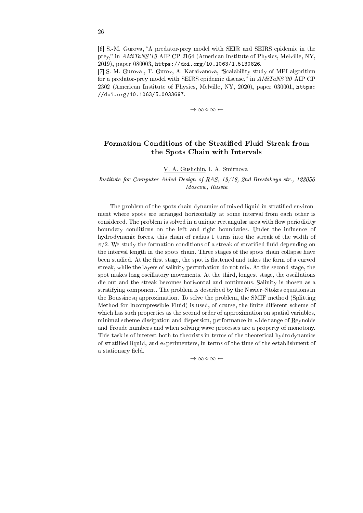[6] S.-M. Gurova, "A predator-prey model with SEIR and SEIRS epidemic in the prey, in AMiTaNS'19 AIP CP 2164 (American Institute of Physics, Melville, NY, 2019), paper 080003, https://doi.org/10.1063/1.5130826.

[7] S.-M. Gurova, T. Gurov, A. Karaivanova, "Scalability study of MPI algorithm for a predator-prey model with SEIRS epidemic disease," in  $AMiTaNS'20$  AIP CP 2302 (American Institute of Physics, Melville, NY, 2020), paper 030001, https: //doi.org/10.1063/5.0033697.

*→ ∞ ⋄ ∞ ←*

# Formation Conditions of the Stratified Fluid Streak from the Spots Chain with Intervals

V. A. Gushchin, I. A. Smirnova

#### Institute for Computer Aided Design of RAS, 19/18, 2nd Brestskaya str., 123056 Moscow, Russia

The problem of the spots chain dynamics of mixed liquid in stratified environment where spots are arranged horizontally at some interval from each other is considered. The problem is solved in a unique rectangular area with flow periodicity boundary conditions on the left and right boundaries. Under the influence of hydrodynamic forces, this chain of radius 1 turns into the streak of the width of  $\pi/2$ . We study the formation conditions of a streak of stratified fluid depending on the interval length in the spots chain. Three stages of the spots chain collapse have been studied. At the first stage, the spot is flattened and takes the form of a curved streak, while the layers of salinity perturbation do not mix. At the second stage, the spot makes long oscillatory movements. At the third, longest stage, the oscillations die out and the streak becomes horizontal and continuous. Salinity is chosen as a stratifying component. The problem is described by the Navier-Stokes equations in the Boussinesq approximation. To solve the problem, the SMIF method (Splitting Method for Incompressible Fluid) is used, of course, the finite different scheme of which has such properties as the second order of approximation on spatial variables, minimal scheme dissipation and dispersion, performance in wide range of Reynolds and Froude numbers and when solving wave processes are a property of monotony. This task is of interest both to theorists in terms of the theoretical hydrodynamics of stratied liquid, and experimenters, in terms of the time of the establishment of a stationary field.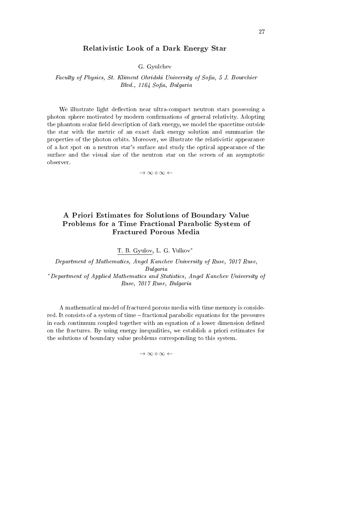#### Relativistic Look of a Dark Energy Star

G. Gyulchev

Faculty of Physics, St. Kliment Ohridski University of Sofia, 5 J. Bourchier Blvd., 1164 Sofia, Bulgaria

We illustrate light deflection near ultra-compact neutron stars possessing a photon sphere motivated by modern confirmations of general relativity. Adopting the phantom scalar field description of dark energy, we model the spacetime outside the star with the metric of an exact dark energy solution and summarize the properties of the photon orbits. Moreover, we illustrate the relativistic appearance of a hot spot on a neutron star's surface and study the optical appearance of the surface and the visual size of the neutron star on the screen of an asymptotic observer.

*→ ∞ ⋄ ∞ ←*

# A Priori Estimates for Solutions of Boundary Value Problems for a Time Fractional Parabolic System of Fractured Porous Media

T. B. Gyulov, L. G. Vulkov*<sup>∗</sup>*

Department of Mathematics, Angel Kanchev University of Ruse, 7017 Ruse, Bulgaria *<sup>∗</sup>*Department of Applied Mathematics and Statistics, Angel Kanchev University of Ruse, 7017 Ruse, Bulgaria

A mathematical model of fractured porous media with time memory is considered. It consists of a system of time – fractional parabolic equations for the pressures in each continuum coupled together with an equation of a lower dimension defined on the fractures. By using energy inequalities, we establish a priori estimates for the solutions of boundary value problems corresponding to this system.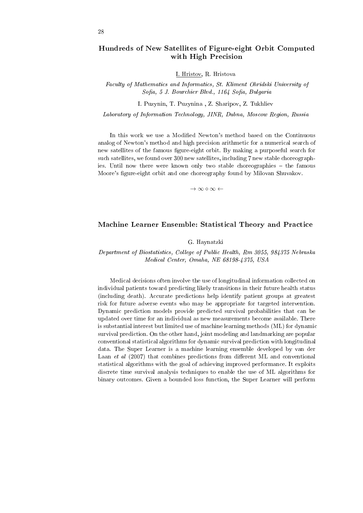# Hundreds of New Satellites of Figure-eight Orbit Computed with High Precision

I. Hristov, R. Hristova

Faculty of Mathematics and Informatics, St. Kliment Ohridski University of Sofia, 5 J. Bourchier Blvd., 1164 Sofia, Bulgaria

I. Puzynin, T. Puzynina , Z. Sharipov, Z. Tukhliev

Laboratory of Information Technology, JINR, Dubna, Moscow Region, Russia

In this work we use a Modied Newton's method based on the Continuous analog of Newton's method and high precision arithmetic for a numerical search of new satellites of the famous figure-eight orbit. By making a purposeful search for such satellites, we found over 300 new satellites, including 7 new stable choreographies. Until now there were known only two stable choreographies – the famous Moore's figure-eight orbit and one choreography found by Milovan Shuvakov.

*→ ∞ ⋄ ∞ ←*

#### Machine Learner Ensemble: Statistical Theory and Practice

#### G. Haynatzki

Department of Biostatistics, College of Public Health, Rm 3055, 984375 Nebraska Medical Center, Omaha, NE 68198-4375, USA

Medical decisions often involve the use of longitudinal information collected on individual patients toward predicting likely transitions in their future health status (including death). Accurate predictions help identify patient groups at greatest risk for future adverse events who may be appropriate for targeted intervention. Dynamic prediction models provide predicted survival probabilities that can be updated over time for an individual as new measurements become available. There is substantial interest but limited use of machine learning methods (ML) for dynamic survival prediction. On the other hand, joint modeling and landmarking are popular conventional statistical algorithms for dynamic survival prediction with longitudinal data. The Super Learner is a machine learning ensemble developed by van der Laan et al  $(2007)$  that combines predictions from different ML and conventional statistical algorithms with the goal of achieving improved performance. It exploits discrete time survival analysis techniques to enable the use of ML algorithms for binary outcomes. Given a bounded loss function, the Super Learner will perform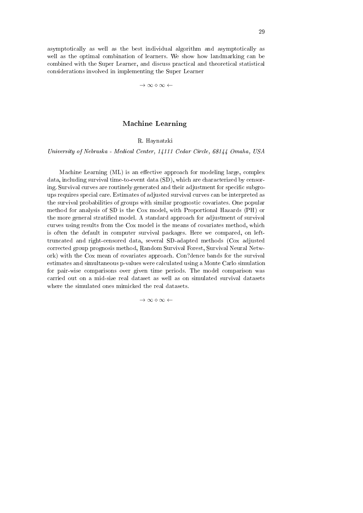asymptotically as well as the best individual algorithm and asymptotically as well as the optimal combination of learners. We show how landmarking can be combined with the Super Learner, and discuss practical and theoretical statistical considerations involved in implementing the Super Learner

*→ ∞ ⋄ ∞ ←*

# Machine Learning

R. Haynatzki

University of Nebraska - Medical Center, 14111 Cedar Circle, 68144 Omaha, USA

Machine Learning  $(ML)$  is an effective approach for modeling large, complex data, including survival time-to-event data (SD), which are characterized by censoring. Survival curves are routinely generated and their adjustment for specific subgroups requires special care. Estimates of adjusted survival curves can be interpreted as the survival probabilities of groups with similar prognostic covariates. One popular method for analysis of SD is the Cox model, with Proportional Hazards (PH) or the more general stratified model. A standard approach for adjustment of survival curves using results from the Cox model is the means of covariates method, which is often the default in computer survival packages. Here we compared, on lefttruncated and right-censored data, several SD-adapted methods (Cox adjusted corrected group prognosis method, Random Survival Forest, Survival Neural Network) with the Cox mean of covariates approach. Con?dence bands for the survival estimates and simultaneous p-values were calculated using a Monte Carlo simulation for pair-wise comparisons over given time periods. The model comparison was carried out on a mid-size real dataset as well as on simulated survival datasets where the simulated ones mimicked the real datasets.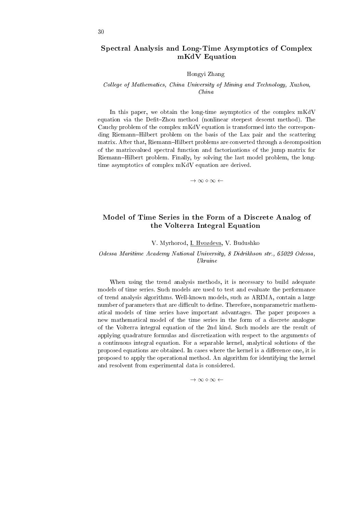# Spectral Analysis and Long-Time Asymptotics of Complex mKdV Equation

#### Hongyi Zhang

#### College of Mathematics, China University of Mining and Technology, Xuzhou, China

In this paper, we obtain the long-time asymptotics of the complex mKdV equation via the Defit-Zhou method (nonlinear steepest descent method). The Cauchy problem of the complex mKdV equation is transformed into the corresponding Riemann–Hilbert problem on the basis of the Lax pair and the scattering matrix. After that, Riemann-Hilbert problems are converted through a decomposition of the matrixvalued spectral function and factorizations of the jump matrix for Riemann–Hilbert problem. Finally, by solving the last model problem, the longtime asymptotics of complex mKdV equation are derived.

*→ ∞ ⋄ ∞ ←*

# Model of Time Series in the Form of a Discrete Analog of the Volterra Integral Equation

V. Myrhorod, I. Hvozdeva, V. Budushko

Odessa Maritime Academy National University, 8 Didrikhson str., 65029 Odessa, Ukraine

When using the trend analysis methods, it is necessary to build adequate models of time series. Such models are used to test and evaluate the performance of trend analysis algorithms. Well-known models, such as ARIMA, contain a large number of parameters that are difficult to define. Therefore, nonparametric mathematical models of time series have important advantages. The paper proposes a new mathematical model of the time series in the form of a discrete analogue of the Volterra integral equation of the 2nd kind. Such models are the result of applying quadrature formulas and discretization with respect to the arguments of a continuous integral equation. For a separable kernel, analytical solutions of the proposed equations are obtained. In cases where the kernel is a difference one, it is proposed to apply the operational method. An algorithm for identifying the kernel and resolvent from experimental data is considered.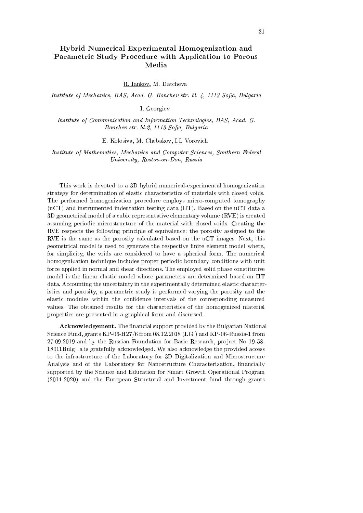# Hybrid Numerical Experimental Homogenization and Parametric Study Procedure with Application to Porous Media

R. Iankov, M. Datcheva

Institute of Mechanics, BAS, Acad. G. Bonchev str. bl. 4, 1113 Sofia, Bulgaria

I. Georgiev

Institute of Communication and Information Technologies, BAS, Acad. G. Bonchev str. bl.2, 1113 Sofia, Bulgaria

E. Kolosiva, M. Chebakov, I.I. Vorovich

Institute of Mathematics, Mechanics and Computer Sciences, Southern Federal University, Rostov-on-Don, Russia

This work is devoted to a 3D hybrid numerical-experimental homogenization strategy for determination of elastic characteristics of materials with closed voids. The performed homogenization procedure employs micro-computed tomography (uCT) and instrumented indentation testing data (IIT). Based on the uCT data a 3D geometrical model of a cubic representative elementary volume (RVE) is created assuming periodic microstructure of the material with closed voids. Creating the RVE respects the following principle of equivalence: the porosity assigned to the RVE is the same as the porosity calculated based on the uCT images. Next, this geometrical model is used to generate the respective finite element model where, for simplicity, the voids are considered to have a spherical form. The numerical homogenization technique includes proper periodic boundary conditions with unit force applied in normal and shear directions. The employed solid phase constitutive model is the linear elastic model whose parameters are determined based on IIT data. Accounting the uncertainty in the experimentally determined elastic characteristics and porosity, a parametric study is performed varying the porosity and the elastic modules within the confidence intervals of the corresponding measured values. The obtained results for the characteristics of the homogenized material properties are presented in a graphical form and discussed.

Acknowledgement. The financial support provided by the Bulgarian National Science Fund, grants KP-06-H27/6 from 08.12.2018 (I.G.) and KP-06-Russia-1 from 27.09.2019 and by the Russian Foundation for Basic Research, project No 19-58- 18011Bulg\_a is gratefully acknowledged. We also acknowledge the provided access to the infrastructure of the Laboratory for 3D Digitalization and Microstructure Analysis and of the Laboratory for Nanostructure Characterization, financially supported by the Science and Education for Smart Growth Operational Program (2014-2020) and the European Structural and Investment fund through grants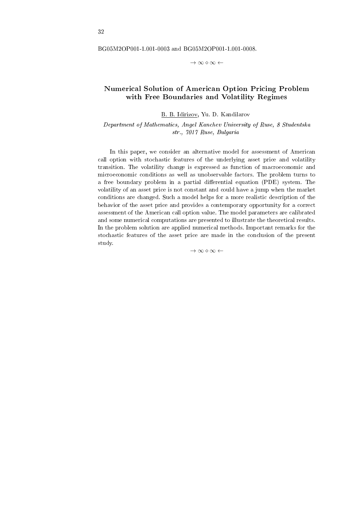BG05M2OP001-1.001-0003 and BG05M2OP001-1.001-0008.

*→ ∞ ⋄ ∞ ←*

# Numerical Solution of American Option Pricing Problem with Free Boundaries and Volatility Regimes

B. B. Idirizov, Yu. D. Kandilarov

Department of Mathematics, Angel Kanchev University of Ruse, 8 Studentska str., 7017 Ruse, Bulgaria

In this paper, we consider an alternative model for assessment of American call option with stochastic features of the underlying asset price and volatility transition. The volatility change is expressed as function of macroeconomic and microeconomic conditions as well as unobservable factors. The problem turns to a free boundary problem in a partial differential equation (PDE) system. The volatility of an asset price is not constant and could have a jump when the market conditions are changed. Such a model helps for a more realistic description of the behavior of the asset price and provides a contemporary opportunity for a correct assessment of the American call option value. The model parameters are calibrated and some numerical computations are presented to illustrate the theoretical results. In the problem solution are applied numerical methods. Important remarks for the stochastic features of the asset price are made in the conclusion of the present study.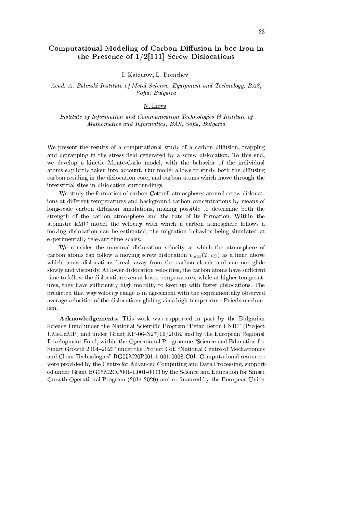# Computational Modeling of Carbon Diffusion in bcc Iron in the Presence of  $1/2$ [111] Screw Dislocations

I. Katzarov, L. Drenchev

Acad. A. Balevski Institute of Metal Science, Equipment and Technology, BAS, Sofia, Bulgaria

#### N. Ilieva

Institute of Information and Communication Technologies & Institute of Mathematics and Informatics, BAS, Sofia, Bulgaria

We present the results of a computational study of a carbon diffusion, trapping and detrapping in the stress field generated by a screw dislocation. To this end, we develop a kinetic Monte-Carlo model, with the behavior of the individual atoms explicitly taken into account. Our model allows to study both the diffusing carbon residing in the dislocation core, and carbon atoms which move through the interstitial sites in dislocation surroundings.

We study the formation of carbon Cottrell atmospheres around screw dislocations at different temperatures and background carbon concentrations by means of long-scale carbon diffusion simulations, making possible to determine both the strength of the carbon atmosphere and the rate of its formation. Within the atomistic kMC model the velocity with which a carbon atmosphere follows a moving dislocation can be estimated, the migration behavior being simulated at experimentally relevant time scales.

We consider the maximal dislocation velocity at which the atmosphere of carbon atoms can follow a moving screw dislocation  $v_{\text{max}}(T, c_C)$  as a limit above which screw dislocations break away from the carbon clouds and can not glide slowly and viscously. At lower dislocation velocities, the carbon atoms have sufficient time to follow the dislocation even at lower temperatures, while at higher temperatures, they have sufficiently high mobility to keep up with faster dislocations. The predicted that way velocity range is in agreement with the experimentally observed average velocities of the dislocations gliding via a high-temperature Peierls mechanism.

Acknowledgements. This work was supported in part by the Bulgarian Science Fund under the National Scientific Program "Petar Beron i NIE" (Project UMeLaMP) and under Grant KP-06-N27/19/2018, and by the European Regional Development Fund, within the Operational Programme "Science and Education for Smart Growth 2014-2020" under the Project CoE "National Centre of Mechatronics and Clean Technologies" BG05M20P001-1.001-0008-C01. Computational resources were provided by the Centre for Advanced Computing and Data Processing, supported under Grant BG05M2OP001-1.001-0003 by the Science and Education for Smart Growth Operational Program (2014-2020) and co-financed by the European Union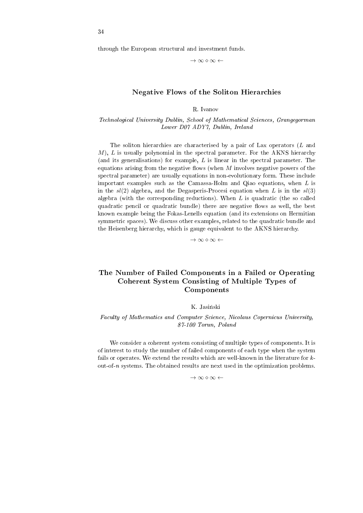through the European structural and investment funds.

*→ ∞ ⋄ ∞ ←*

# Negative Flows of the Soliton Hierarchies

R. Ivanov

Technological University Dublin, School of Mathematical Sciences, Grangegorman Lower D07 ADY7, Dublin, Ireland

The soliton hierarchies are characterised by a pair of Lax operators (*L* and *M*), *L* is usually polynomial in the spectral parameter. For the AKNS hierarchy (and its generalisations) for example, *L* is linear in the spectral parameter. The equations arising from the negative flows (when *M* involves negative powers of the spectral parameter) are usually equations in non-evolutionary form. These include important examples such as the Camassa-Holm and Qiao equations, when *L* is in the  $sl(2)$  algebra, and the Degasperis-Procesi equation when *L* is in the  $sl(3)$ algebra (with the corresponding reductions). When *L* is quadratic (the so called quadratic pencil or quadratic bundle) there are negative flows as well, the best known example being the Fokas-Lenells equation (and its extensions on Hermitian symmetric spaces). We discuss other examples, related to the quadratic bundle and the Heisenberg hierarchy, which is gauge equivalent to the AKNS hierarchy.

*→ ∞ ⋄ ∞ ←*

# The Number of Failed Components in a Failed or Operating Coherent System Consisting of Multiple Types of Components

#### K. Jasinski

#### Faculty of Mathematics and Computer Science, Nicolaus Copernicus University, 87-100 Torun, Poland

We consider a coherent system consisting of multiple types of components. It is of interest to study the number of failed components of each type when the system fails or operates. We extend the results which are well-known in the literature for kout-of-n systems. The obtained results are next used in the optimization problems.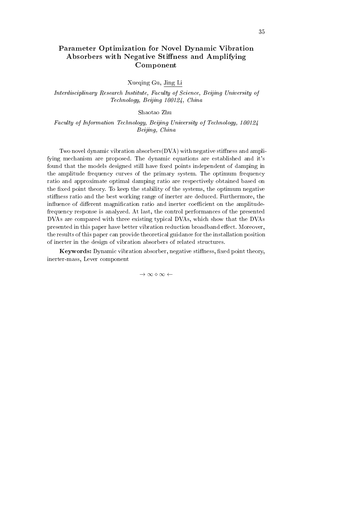# Parameter Optimization for Novel Dynamic Vibration Absorbers with Negative Stiffness and Amplifying Component

Xueqing Gu, Jing Li

Interdisciplinary Research Institute, Faculty of Science, Beijing University of Technology, Beijing 100124, China

Shaotao Zhu

Faculty of Information Technology, Beijing University of Technology, 100124 Beijing, China

Two novel dynamic vibration absorbers $(DVA)$  with negative stiffness and amplifying mechanism are proposed. The dynamic equations are established and it's found that the models designed still have fixed points independent of damping in the amplitude frequency curves of the primary system. The optimum frequency ratio and approximate optimal damping ratio are respectively obtained based on the fixed point theory. To keep the stability of the systems, the optimum negative stiness ratio and the best working range of inerter are deduced. Furthermore, the influence of different magnification ratio and inerter coefficient on the amplitudefrequency response is analyzed. At last, the control performances of the presented DVAs are compared with three existing typical DVAs, which show that the DVAs presented in this paper have better vibration reduction broadband effect. Moreover, the results of this paper can provide theoretical guidance for the installation position of inerter in the design of vibration absorbers of related structures.

Keywords: Dynamic vibration absorber, negative stiffness, fixed point theory, inerter-mass, Lever component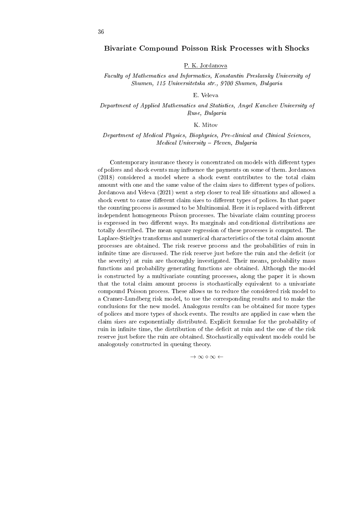#### Bivariate Compound Poisson Risk Processes with Shocks

#### P. K. Jordanova

#### Faculty of Mathematics and Informatics, Konstantin Preslavsky University of Shumen, 115 Universitetska str., 9700 Shumen, Bulgaria

#### E. Veleva

#### Department of Applied Mathematics and Statistics, Angel Kanchev University of Ruse, Bulgaria

#### K. Mitov

#### Department of Medical Physics, Biophysics, Pre-clinical and Clinical Sciences, Medical University - Pleven, Bulgaria

Contemporary insurance theory is concentrated on models with different types of polices and shock events may influence the payments on some of them. Jordanova (2018) considered a model where a shock event contributes to the total claim amount with one and the same value of the claim sizes to different types of polices. Jordanova and Veleva (2021) went a step closer to real life situations and allowed a shock event to cause different claim sizes to different types of polices. In that paper the counting process is assumed to be Multinomial. Here it is replaced with different independent homogeneous Poison processes. The bivariate claim counting process is expressed in two different ways. Its marginals and conditional distributions are totally described. The mean square regression of these processes is computed. The Laplace-Stieltjes transforms and numerical characteristics of the total claim amount processes are obtained. The risk reserve process and the probabilities of ruin in infinite time are discussed. The risk reserve just before the ruin and the deficit (or the severity) at ruin are thoroughly investigated. Their means, probability mass functions and probability generating functions are obtained. Although the model is constructed by a multivariate counting processes, along the paper it is shown that the total claim amount process is stochastically equivalent to a univariate compound Poisson process. These allows us to reduce the considered risk model to a Cramer-Lundberg risk model, to use the corresponding results and to make the conclusions for the new model. Analogous results can be obtained for more types of polices and more types of shock events. The results are applied in case when the claim sizes are exponentially distributed. Explicit formulae for the probability of ruin in infinite time, the distribution of the deficit at ruin and the one of the risk reserve just before the ruin are obtained. Stochastically equivalent models could be analogously constructed in queuing theory.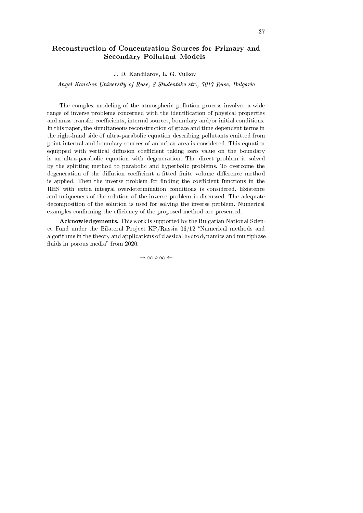# Reconstruction of Concentration Sources for Primary and Secondary Pollutant Models

J. D. Kandilarov, L. G. Vulkov

Angel Kanchev University of Ruse, 8 Studentska str., 7017 Ruse, Bulgaria

The complex modeling of the atmospheric pollution process involves a wide range of inverse problems concerned with the identification of physical properties and mass transfer coefficients, internal sources, boundary and/or initial conditions. In this paper, the simultaneous reconstruction of space and time dependent terms in the right-hand side of ultra-parabolic equation describing pollutants emitted from point internal and boundary sources of an urban area is considered. This equation equipped with vertical diffusion coefficient taking zero value on the boundary is an ultra-parabolic equation with degeneration. The direct problem is solved by the splitting method to parabolic and hyperbolic problems. To overcome the degeneration of the diffusion coefficient a fitted finite volume difference method is applied. Then the inverse problem for finding the coefficient functions in the RHS with extra integral overdetermination conditions is considered. Existence and uniqueness of the solution of the inverse problem is discussed. The adequate decomposition of the solution is used for solving the inverse problem. Numerical examples confirming the efficiency of the proposed method are presented.

Acknowledgements. This work is supported by the Bulgarian National Science Fund under the Bilateral Project  $KP/R$ ussia 06/12 "Numerical methods and algorithms in the theory and applications of classical hydrodynamics and multiphase fluids in porous media" from 2020.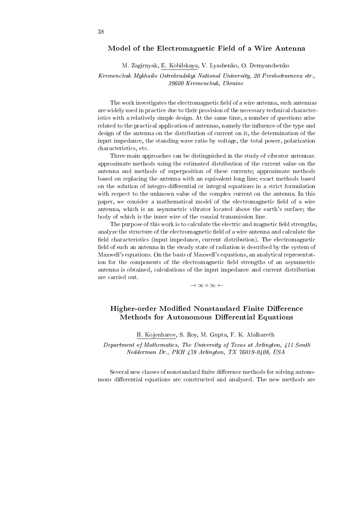#### Model of the Electromagnetic Field of a Wire Antenna

#### M. Zagirnyak, E. Kobilskaya, V. Lyashenko, O. Demyanchenko

#### Kremenchuk Mykhailo Ostrohradskyi National University, 20 Pershotravneva str., 39600 Kremenchuk, Ukraine

The work investigates the electromagnetic field of a wire antenna, such antennas are widely used in practice due to their provision of the necessary technical characteristics with a relatively simple design. At the same time, a number of questions arise related to the practical application of antennas, namely the influence of the type and design of the antenna on the distribution of current on it, the determination of the input impedance, the standing wave ratio by voltage, the total power, polarization characteristics, etc.

Three main approaches can be distinguished in the study of vibrator antennas: approximate methods using the estimated distribution of the current value on the antenna and methods of superposition of these currents; approximate methods based on replacing the antenna with an equivalent long line; exact methods based on the solution of integro-differential or integral equations in a strict formulation with respect to the unknown value of the complex current on the antenna. In this paper, we consider a mathematical model of the electromagnetic field of a wire antenna, which is an asymmetric vibrator located above the earth's surface; the body of which is the inner wire of the coaxial transmission line.

The purpose of this work is to calculate the electric and magnetic field strengths, analyze the structure of the electromagnetic field of a wire antenna and calculate the field characteristics (input impedance, current distribution). The electromagnetic field of such an antenna in the steady state of radiation is described by the system of Maxwell's equations. On the basis of Maxwell's equations, an analytical representation for the components of the electromagnetic field strengths of an asymmetric antenna is obtained, calculations of the input impedance and current distribution are carried out.

*→ ∞ ⋄ ∞ ←*

# Higher-order Modified Nonstandard Finite Difference Methods for Autonomous Differential Equations

H. Kojouharov, S. Roy, M. Gupta, F. K. Alalhareth

Department of Mathematics, The University of Texas at Arlington, 411 South Nedderman Dr., PKH 478 Arlington, TX 76019-0408, USA

Several new classes of nonstandard finite difference methods for solving autonomous differential equations are constructed and analyzed. The new methods are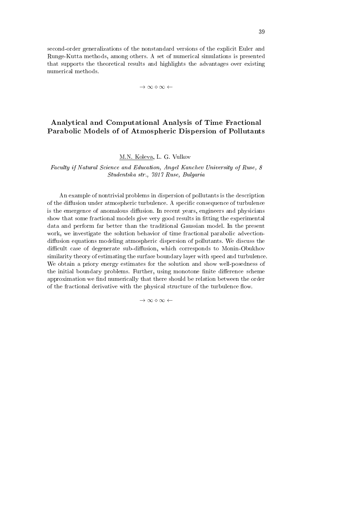second-order generalizations of the nonstandard versions of the explicit Euler and Runge-Kutta methods, among others. A set of numerical simulations is presented that supports the theoretical results and highlights the advantages over existing numerical methods.

*→ ∞ ⋄ ∞ ←*

# Analytical and Computational Analysis of Time Fractional Parabolic Models of of Atmospheric Dispersion of Pollutants

### M.N. Koleva, L. G. Vulkov

Faculty if Natural Science and Education, Angel Kanchev University of Ruse, 8 Studentska str., 7017 Ruse, Bulgaria

An example of nontrivial problems in dispersion of pollutants is the description of the diffusion under atmospheric turbulence. A specific consequence of turbulence is the emergence of anomalous diffusion. In recent years, engineers and physicians show that some fractional models give very good results in tting the experimental data and perform far better than the traditional Gaussian model. In the present work, we investigate the solution behavior of time fractional parabolic advectiondiffusion equations modeling atmospheric dispersion of pollutants. We discuss the difficult case of degenerate sub-diffusion, which corresponds to Monin-Obukhov similarity theory of estimating the surface boundary layer with speed and turbulence. We obtain a priory energy estimates for the solution and show well-posedness of the initial boundary problems. Further, using monotone finite difference scheme approximation we find numerically that there should be relation between the order of the fractional derivative with the physical structure of the turbulence flow.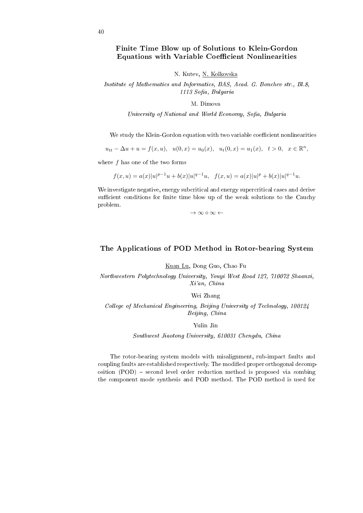## Finite Time Blow up of Solutions to Klein-Gordon Equations with Variable Coefficient Nonlinearities

N. Kutev, N. Kolkovska

Institute of Mathematics and Informatics, BAS, Acad. G. Bonchev str., Bl.8, 1113 Sofia, Bulgaria

M. Dimova

University of National and World Economy, Sofia, Bulgaria

We study the Klein-Gordon equation with two variable coefficient nonlinearities

 $u_{tt} - \Delta u + u = f(x, u), \quad u(0, x) = u_0(x), \quad u_t(0, x) = u_1(x), \quad t > 0, \quad x \in \mathbb{R}^n,$ 

where *f* has one of the two forms

$$
f(x, u) = a(x)|u|^{p-1}u + b(x)|u|^{q-1}u, \quad f(x, u) = a(x)|u|^{p} + b(x)|u|^{q-1}u.
$$

We investigate negative, energy subcritical and energy supercritical cases and derive sufficient conditions for finite time blow up of the weak solutions to the Cauchy problem.

*→ ∞ ⋄ ∞ ←*

### The Applications of POD Method in Rotor-bearing System

Kuan Lu, Dong Guo, Chao Fu

Northwestern Polytechnology University, Youyi West Road 127, 710072 Shaanxi, Xi'an, China

Wei Zhang

College of Mechanical Engineering, Beijing University of Technology, 100124 Beijing, China

Yulin Jin

Southwest Jiaotong University, 610031 Chengdu, China

The rotor-bearing system models with misalignment, rub-impact faults and coupling faults are established respectively. The modified proper orthogonal decomposition  $(POD)$  – second level order reduction method is proposed via combing the component mode synthesis and POD method. The POD method is used for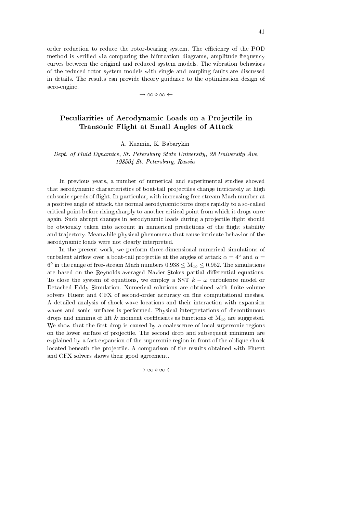order reduction to reduce the rotor-bearing system. The efficiency of the POD method is verified via comparing the bifurcation diagrams, amplitude-frequency curves between the original and reduced system models. The vibration behaviors of the reduced rotor system models with single and coupling faults are discussed in details. The results can provide theory guidance to the optimization design of aero-engine.

*→ ∞ ⋄ ∞ ←*

## Peculiarities of Aerodynamic Loads on a Projectile in Transonic Flight at Small Angles of Attack

## A. Kuzmin, K. Babarykin

Dept. of Fluid Dynamics, St. Petersburg State University, 28 University Ave, 198504 St. Petersburg, Russia

In previous years, a number of numerical and experimental studies showed that aerodynamic characteristics of boat-tail projectiles change intricately at high subsonic speeds of flight. In particular, with increasing free-stream Mach number at a positive angle of attack, the normal aerodynamic force drops rapidly to a so-called critical point before rising sharply to another critical point from which it drops once again. Such abrupt changes in aerodynamic loads during a projectile flight should be obviously taken into account in numerical predictions of the flight stability and trajectory. Meanwhile physical phenomena that cause intricate behavior of the aerodynamic loads were not clearly interpreted.

In the present work, we perform three-dimensional numerical simulations of turbulent airflow over a boat-tail projectile at the angles of attack  $\alpha = 4^\circ$  and  $\alpha =$ 6 *◦* in the range of free-stream Mach numbers 0*.*938 *≤* M*<sup>∞</sup> ≤* 0*.*952. The simulations are based on the Reynolds-averaged Navier-Stokes partial differential equations. To close the system of equations, we employ a SST *k − ω* turbulence model or Detached Eddy Simulation. Numerical solutions are obtained with nite-volume solvers Fluent and CFX of second-order accuracy on fine computational meshes. A detailed analysis of shock wave locations and their interaction with expansion waves and sonic surfaces is performed. Physical interpretations of discontinuous drops and minima of lift & moment coefficients as functions of  $M_\infty$  are suggested. We show that the first drop is caused by a coalescence of local supersonic regions on the lower surface of projectile. The second drop and subsequent minimum are explained by a fast expansion of the supersonic region in front of the oblique shock located beneath the projectile. A comparison of the results obtained with Fluent and CFX solvers shows their good agreement.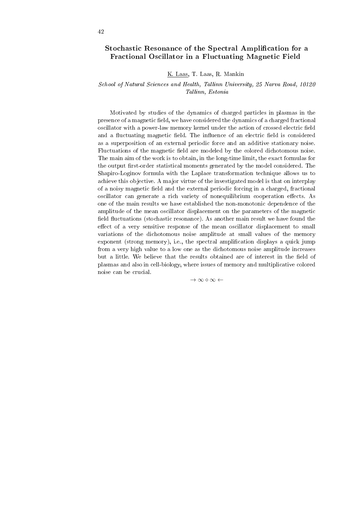## Stochastic Resonance of the Spectral Amplification for a Fractional Oscillator in a Fluctuating Magnetic Field

K. Laas, T. Laas, R. Mankin

School of Natural Sciences and Health, Tallinn University, 25 Narva Road, 10120 Tallinn, Estonia

Motivated by studies of the dynamics of charged particles in plasmas in the presence of a magnetic field, we have considered the dynamics of a charged fractional oscillator with a power-law memory kernel under the action of crossed electric field and a fluctuating magnetic field. The influence of an electric field is considered as a superposition of an external periodic force and an additive stationary noise. Fluctuations of the magnetic field are modeled by the colored dichotomous noise. The main aim of the work is to obtain, in the long-time limit, the exact formulas for the output first-order statistical moments generated by the model considered. The Shapiro-Loginov formula with the Laplace transformation technique allows us to achieve this objective. A major virtue of the investigated model is that on interplay of a noisy magnetic field and the external periodic forcing in a charged, fractional oscillator can generate a rich variety of nonequilibrium cooperation effects. As one of the main results we have established the non-monotonic dependence of the amplitude of the mean oscillator displacement on the parameters of the magnetic field fluctuations (stochastic resonance). As another main result we have found the effect of a very sensitive response of the mean oscillator displacement to small variations of the dichotomous noise amplitude at small values of the memory exponent (strong memory), i.e., the spectral amplification displays a quick jump from a very high value to a low one as the dichotomous noise amplitude increases but a little. We believe that the results obtained are of interest in the field of plasmas and also in cell-biology, where issues of memory and multiplicative colored noise can be crucial.

 $→ ∞ ∞ ∞ ←$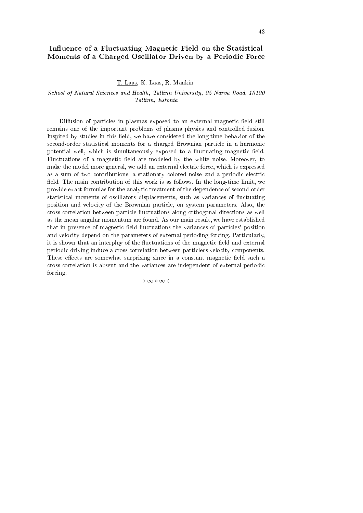## Influence of a Fluctuating Magnetic Field on the Statistical Moments of a Charged Oscillator Driven by a Periodic Force

T. Laas, K. Laas, R. Mankin

### School of Natural Sciences and Health, Tallinn University, 25 Narva Road, 10120 Tallinn, Estonia

Diffusion of particles in plasmas exposed to an external magnetic field still remains one of the important problems of plasma physics and controlled fusion. Inspired by studies in this field, we have considered the long-time behavior of the second-order statistical moments for a charged Brownian particle in a harmonic potential well, which is simultaneously exposed to a fluctuating magnetic field. Fluctuations of a magnetic field are modeled by the white noise. Moreover, to make the model more general, we add an external electric force, which is expressed as a sum of two contributions: a stationary colored noise and a periodic electric field. The main contribution of this work is as follows. In the long-time limit, we provide exact formulas for the analytic treatment of the dependence of second-order statistical moments of oscillators displacements, such as variances of uctuating position and velocity of the Brownian particle, on system parameters. Also, the cross-correlation between particle fluctuations along orthogonal directions as well as the mean angular momentum are found. As our main result, we have established that in presence of magnetic field fluctuations the variances of particles' position and velocity depend on the parameters of external perioding forcing. Particularly, it is shown that an interplay of the fluctuations of the magnetic field and external periodic driving induce a cross-correlation between particlers velocity components. These effects are somewhat surprising since in a constant magnetic field such a cross-correlation is absent and the variances are independent of external periodic forcing.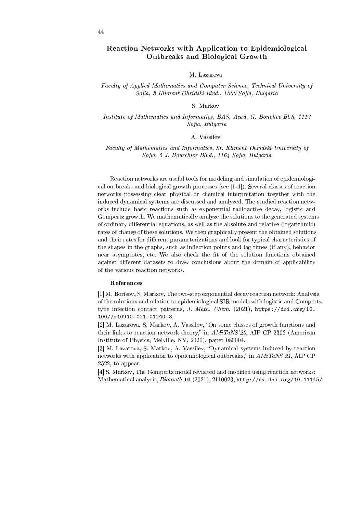## Reaction Networks with Application to Epidemiological Outbreaks and Biological Growth

#### M. Lazarova

Faculty of Applied Mathematics and Computer Science, Technical University of Sofia, 8 Kliment Ohridski Blvd., 1000 Sofia, Bulgaria

#### S. Markov

Institute of Mathematics and Informatics, BAS, Acad. G. Bonchev Bl.8, 1113 Sofia, Bulgaria

#### A. Vassilev

Faculty of Mathematics and Informatics, St. Kliment Ohridski University of Sofia, 5 J. Bourchier Blvd., 1164 Sofia, Bulgaria

Reaction networks are useful tools for modeling and simulation of epidemiological outbreaks and biological growth processes (see [1-4]). Several classes of reaction networks possessing clear physical or chemical interpretation together with the induced dynamical systems are discussed and analyzed. The studied reaction networks include basic reactions such as exponential radioactive decay, logistic and Gompertz growth. We mathematically analyze the solutions to the generated systems of ordinary differential equations, as well as the absolute and relative (logarithmic) rates of change of these solutions. We then graphically present the obtained solutions and their rates for different parameterizations and look for typical characteristics of the shapes in the graphs, such as inflection points and lag times (if any), behavior near asymptotes, etc. We also check the fit of the solution functions obtained against different datasets to draw conclusions about the domain of applicability of the various reaction networks.

#### References

[1] M. Borisov, S. Markov, The two-step exponential decay reaction network: Analysis of the solutions and relation to epidemiological SIR models with logistic and Gompertz type infection contact patterns, J. Math. Chem. (2021),  $\frac{h}{h}$ ttps://doi.org/10. 1007/s10910-021-01240-8.

[2] M. Lazarova, S. Markov, A. Vassilev, "On some classes of growth functions and their links to reaction network theory," in  $AMiTaNS'20$ , AIP CP 2302 (American Institute of Physics, Melville, NY, 2020), paper 080004.

[3] M. Lazarova, S. Markov, A. Vassilev, "Dynamical systems induced by reaction networks with application to epidemiological outbreaks," in  $AMiTaNS'21$ , AIP CP 2522, to appear.

[4] S. Markov, The Gompertz model revisited and modied using reaction networks: Mathematical analysis,  $Biomath 10$  (2021), 2110023, http://dx.doi.org/10.11145/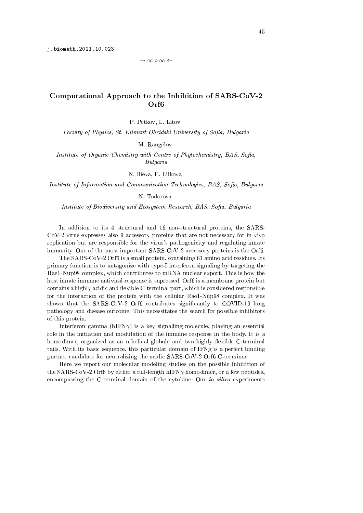*→ ∞ ⋄ ∞ ←*

## Computational Approach to the Inhibition of SARS-CoV-2 Orf6

P. Petkov, L. Litov

Faculty of Physics, St. Kliment Ohridski University of Sofia, Bulgaria

M. Rangelov

Institute of Organic Chemistry with Centre of Phytochemistry, BAS, Sofia, Bulgaria

N. Ilieva, E. Lilkova

Institute of Information and Communication Technologies, BAS, Sofia, Bulgaria

### N. Todorova

Institute of Biodiversity and Ecosystem Research, BAS, Sofia, Bulgaria

In addition to its 4 structural and 16 non-structural proteins, the SARS-CoV-2 virus expresses also 9 accessory proteins that are not necessary for in vivo replication but are responsible for the virus's pathogenicity and regulating innate immunity. One of the most important SARS-CoV-2 accessory proteins is the Orf6.

The SARS-CoV-2 Orf6 is a small protein, containing 61 amino acid residues. Its primary function is to antagonize with type-I interferon signaling by targeting the Rae1-Nup98 complex, which contributes to mRNA nuclear export. This is how the host innate immune antiviral response is supressed. Orf6 is a membrane protein but contains a highly acidic and flexible C-terminal part, which is considered responsible for the interaction of the protein with the cellular Rae1-Nup98 complex. It was shown that the SARS-CoV-2 Orf6 contributes significantly to COVID-19 lung pathology and disease outcome. This necessitates the search for possible inhibitors of this protein.

Interferon gamma ( $hIFN\gamma$ ) is a key signalling molecule, playing an essential role in the initiation and modulation of the immune response in the body. It is a homodimer, organized as an  $\alpha$ -helical globule and two highly flexible C-terminal tails. With its basic sequence, this particular domain of IFNg is a perfect binding partner candidate for neutralizing the acidic SARS-CoV-2 Orf6 C-terminus.

Here we report our molecular modeling studies on the possible inhibition of the SARS-CoV-2 Orf6 by either a full-length hIFN*γ* homodimer, or a few peptides, encompassing the C-terminal domain of the cytokine. Our *in silico* experiments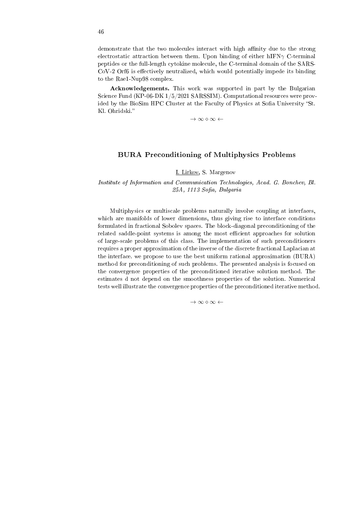demonstrate that the two molecules interact with high affinity due to the strong electrostatic attraction between them. Upon binding of either hIFN*γ* C-terminal peptides or the full-length cytokine molecule, the C-terminal domain of the SARS- $CoV-2$  Orf6 is effectively neutralized, which would potentially impede its binding to the Rae1-Nup98 complex.

Acknowledgements. This work was supported in part by the Bulgarian Science Fund (KP-06-DK 1/5/2021 SARSSIM). Computational resources were provided by the BioSim HPC Cluster at the Faculty of Physics at Sofia University "St. Kl. Ohridski.

*→ ∞ ⋄ ∞ ←*

## BURA Preconditioning of Multiphysics Problems

#### I. Lirkov, S. Margenov

### Institute of Information and Communication Technologies, Acad. G. Bonchev, Bl.  $25A$ , 1113 Sofia, Bulgaria

Multiphysics or multiscale problems naturally involve coupling at interfaces, which are manifolds of lower dimensions, thus giving rise to interface conditions formulated in fractional Sobolev spaces. The block-diagonal preconditioning of the related saddle-point systems is among the most efficient approaches for solution of large-scale problems of this class. The implementation of such preconditioners requires a proper approximation of the inverse of the discrete fractional Laplacian at the interface. we propose to use the best uniform rational approximation (BURA) method for preconditioning of such problems. The presented analysis is focused on the convergence properties of the preconditioned iterative solution method. The estimates d not depend on the smoothness properties of the solution. Numerical tests well illustrate the convergence properties of the preconditioned iterative method.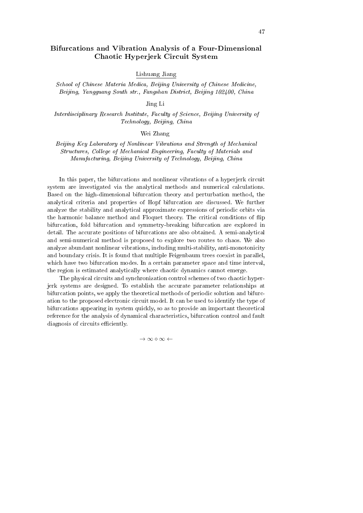## Bifurcations and Vibration Analysis of a Four-Dimensional Chaotic Hyperjerk Circuit System

Lishuang Jiang

School of Chinese Materia Medica, Beijing University of Chinese Medicine, Beijing, Yangguang South str., Fangshan District, Beijing 102400, China

Jing Li

Interdisciplinary Research Institute, Faculty of Science, Beijing University of Technology, Beijing, China

#### Wei Zhang

Beijing Key Laboratory of Nonlinear Vibrations and Strength of Mechanical Structures, College of Mechanical Engineering, Faculty of Materials and Manufacturing, Beijing University of Technology, Beijing, China

In this paper, the bifurcations and nonlinear vibrations of a hyperjerk circuit system are investigated via the analytical methods and numerical calculations. Based on the high-dimensional bifurcation theory and perturbation method, the analytical criteria and properties of Hopf bifurcation are discussed. We further analyze the stability and analytical approximate expressions of periodic orbits via the harmonic balance method and Floquet theory. The critical conditions of flip bifurcation, fold bifurcation and symmetry-breaking bifurcation are explored in detail. The accurate positions of bifurcations are also obtained. A semi-analytical and semi-numerical method is proposed to explore two routes to chaos. We also analyze abundant nonlinear vibrations, including multi-stability, anti-monotonicity and boundary crisis. It is found that multiple Feigenbaum trees coexist in parallel, which have two bifurcation modes. In a certain parameter space and time interval, the region is estimated analytically where chaotic dynamics cannot emerge.

The physical circuits and synchronization control schemes of two chaotic hyperjerk systems are designed. To establish the accurate parameter relationships at bifurcation points, we apply the theoretical methods of periodic solution and bifurcation to the proposed electronic circuit model. It can be used to identify the type of bifurcations appearing in system quickly, so as to provide an important theoretical reference for the analysis of dynamical characteristics, bifurcation control and fault diagnosis of circuits efficiently.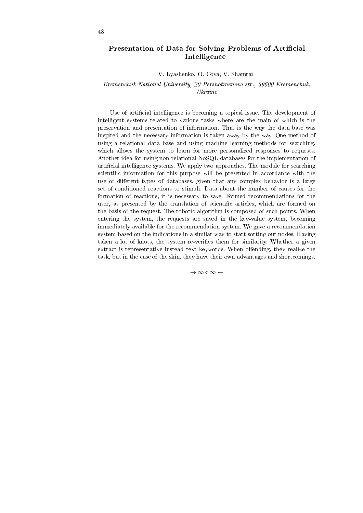## Presentation of Data for Solving Problems of Artificial Intelligence

V. Lyashenko, O. Cova, V. Shamrai

Kremenchuk National University, 20 Pershotravneva str., 39600 Kremenchuk, Ukraine

Use of artificial intelligence is becoming a topical issue. The development of intelligent systems related to various tasks where are the main of which is the preservation and presentation of information. That is the way the data base was inspired and the necessary information is taken away by the way. One method of using a relational data base and using machine learning methods for searching, which allows the system to learn for more personalized responses to requests. Another idea for using non-relational NoSQL databases for the implementation of artificial intelligence systems. We apply two approaches. The module for searching scientific information for this purpose will be presented in accordance with the use of different types of databases, given that any complex behavior is a large set of conditioned reactions to stimuli. Data about the number of causes for the formation of reactions, it is necessary to save. Formed recommendations for the user, as presented by the translation of scientific articles, which are formed on the basis of the request. The robotic algorithm is composed of such points. When entering the system, the requests are saved in the key-value system, becoming immediately available for the recommendation system. We gave a recommendation system based on the indications in a similar way to start sorting out nodes. Having taken a lot of knots, the system re-verifies them for similarity. Whether a given extract is representative instead text keywords. When offending, they realize the task, but in the case of the skin, they have their own advantages and shortcomings.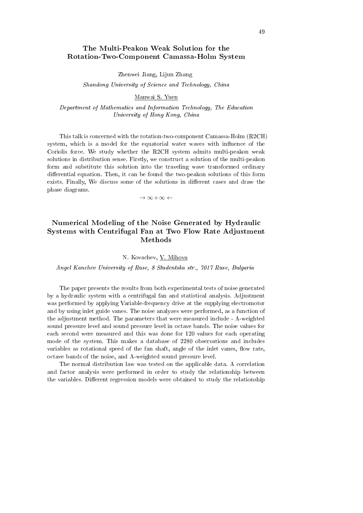## The Multi-Peakon Weak Solution for the Rotation-Two-Component Camassa-Holm System

Zhenwei Jiang, Lijun Zhang

Shandong University of Science and Technology, China

#### Manwai S. Yuen

Department of Mathematics and Information Technology, The Education University of Hong Kong, China

This talk is concerned with the rotation-two-component Camassa-Holm (R2CH) system, which is a model for the equatorial water waves with influence of the Coriolis force. We study whether the R2CH system admits multi-peakon weak solutions in distribution sense. Firstly, we construct a solution of the multi-peakon form and substitute this solution into the traveling wave transformed ordinary differential equation. Then, it can be found the two-peakon solutions of this form exists. Finally, We discuss some of the solutions in different cases and draw the phase diagrams.

*→ ∞ ⋄ ∞ ←*

# Numerical Modeling of the Noise Generated by Hydraulic Systems with Centrifugal Fan at Two Flow Rate Adjustment Methods

#### N. Kovachev, V. Mihova

Angel Kanchev University of Ruse, 8 Studentska str., 7017 Ruse, Bulgaria

The paper presents the results from both experimental tests of noise generated by a hydraulic system with a centrifugal fan and statistical analysis. Adjustment was performed by applying Variable-frequency drive at the supplying electromotor and by using inlet guide vanes. The noise analyzes were performed, as a function of the adjustment method. The parameters that were measured include - A-weighted sound pressure level and sound pressure level in octave bands. The noise values for each second were measured and this was done for 120 values for each operating mode of the system. This makes a database of 2280 observations and includes variables as rotational speed of the fan shaft, angle of the inlet vanes, flow rate, octave bands of the noise, and A-weighted sound pressure level.

The normal distribution law was tested on the applicable data. A correlation and factor analysis were performed in order to study the relationship between the variables. Different regression models were obtained to study the relationship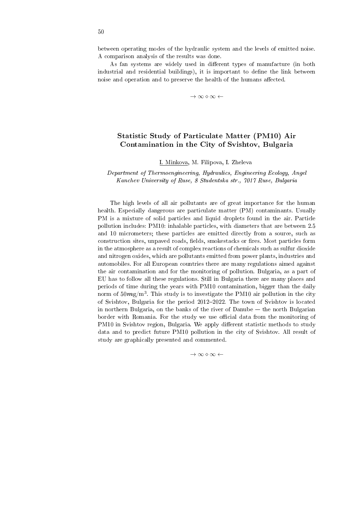As fan systems are widely used in different types of manufacture (in both industrial and residential buildings), it is important to define the link between noise and operation and to preserve the health of the humans affected.

*→ ∞ ⋄ ∞ ←*

## Statistic Study of Particulate Matter (PM10) Air Contamination in the City of Svishtov, Bulgaria

I. Minkova, M. Filipova, I. Zheleva

### Department of Thermoengineering, Hydraulics, Engineering Ecology, Angel Kanchev University of Ruse, 8 Studentska str., 7017 Ruse, Bulgaria

The high levels of all air pollutants are of great importance for the human health. Especially dangerous are particulate matter (PM) contaminants. Usually PM is a mixture of solid particles and liquid droplets found in the air. Particle pollution includes: PM10: inhalable particles, with diameters that are between 2.5 and 10 micrometers; these particles are emitted directly from a source, such as construction sites, unpaved roads, fields, smokestacks or fires. Most particles form in the atmosphere as a result of complex reactions of chemicals such as sulfur dioxide and nitrogen oxides, which are pollutants emitted from power plants, industries and automobiles. For all European countries there are many regulations aimed against the air contamination and for the monitoring of pollution. Bulgaria, as a part of EU has to follow all these regulations. Still in Bulgaria there are many places and periods of time during the years with PM10 contamination, bigger than the daily norm of  $50\mathcal{m}$ g/m<sup>3</sup>. This study is to investigate the PM10 air pollution in the city of Svishtov, Bulgaria for the period 2012–2022. The town of Svishtov is located in northern Bulgaria, on the banks of the river of Danube  $-$  the north Bulgarian border with Romania. For the study we use official data from the monitoring of PM10 in Svishtov region, Bulgaria. We apply different statistic methods to study data and to predict future PM10 pollution in the city of Svishtov. All result of study are graphically presented and commented.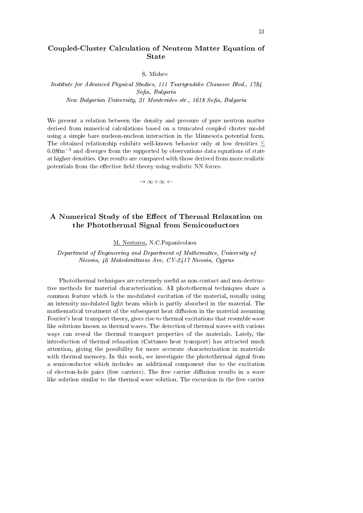## Coupled-Cluster Calculation of Neutron Matter Equation of State

S. Mishev

Institute for Advanced Physical Studies, 111 Tsarigradsko Chaussee Blvd., 1784 Sofia, Bulgaria

New Bulgarian University, 21 Montevideo str., 1618 Sofia, Bulgaria

We present a relation between the density and pressure of pure neutron matter derived from numerical calculations based on a truncated coupled cluster model using a simple bare nucleon-nucleon interaction in the Minnesota potential form. The obtained relationship exhibits well-known behavior only at low densities  $\leq$ 0.08fm*−*<sup>3</sup> and diverges from the supported by observations data equations of state at higher densities. Our results are compared with those derived from more realistic potentials from the effective field theory using realistic NN forces.

*→ ∞ ⋄ ∞ ←*

# A Numerical Study of the Effect of Thermal Relaxation on the Photothermal Signal from Semiconductors

M. Nestoros, N.C.Papanicolaou

Department of Engineering and Department of Mathematics, University of Nicosia, 46 Makedonitissas Ave, CY-2417 Nicosia, Cyprus

Photothermal techniques are extremely useful as non-contact and non-destructive methods for material characterization. All photothermal techniques share a common feature which is the modulated excitation of the material, usually using an intensity modulated light beam which is partly absorbed in the material. The mathematical treatment of the subsequent heat diffusion in the material assuming Fourier's heat transport theory, gives rise to thermal excitations that resemble wave like solutions known as thermal waves. The detection of thermal waves with various ways can reveal the thermal transport properties of the materials. Lately, the introduction of thermal relaxation (Cattaneo heat transport) has attracted much attention, giving the possibility for more accurate characterization in materials with thermal memory. In this work, we investigate the photothermal signal from a semiconductor which includes an additional component due to the excitation of electron-hole pairs (free carriers). The free carrier diffusion results in a wave like solution similar to the thermal wave solution. The excursion in the free carrier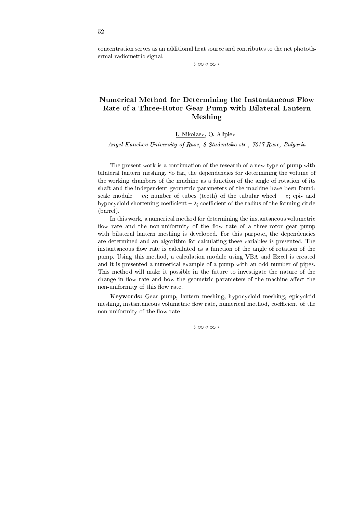concentration serves as an additional heat source and contributes to the net photothermal radiometric signal.

*→ ∞ ⋄ ∞ ←*

# Numerical Method for Determining the Instantaneous Flow Rate of a Three-Rotor Gear Pump with Bilateral Lantern Meshing

### I. Nikolaev, O. Alipiev

Angel Kanchev University of Ruse, 8 Studentska str., 7017 Ruse, Bulgaria

The present work is a continuation of the research of a new type of pump with bilateral lantern meshing. So far, the dependencies for determining the volume of the working chambers of the machine as a function of the angle of rotation of its shaft and the independent geometric parameters of the machine have been found: scale module  $-$  m; number of tubes (teeth) of the tubular wheel  $-$  z; epi- and hypocycloid shortening coefficient  $-\lambda$ ; coefficient of the radius of the forming circle (barrel).

In this work, a numerical method for determining the instantaneous volumetric flow rate and the non-uniformity of the flow rate of a three-rotor gear pump with bilateral lantern meshing is developed. For this purpose, the dependencies are determined and an algorithm for calculating these variables is presented. The instantaneous flow rate is calculated as a function of the angle of rotation of the pump. Using this method, a calculation module using VBA and Excel is created and it is presented a numerical example of a pump with an odd number of pipes. This method will make it possible in the future to investigate the nature of the change in flow rate and how the geometric parameters of the machine affect the non-uniformity of this flow rate.

Keywords: Gear pump, lantern meshing, hypocycloid meshing, epicycloid meshing, instantaneous volumetric flow rate, numerical method, coefficient of the non-uniformity of the flow rate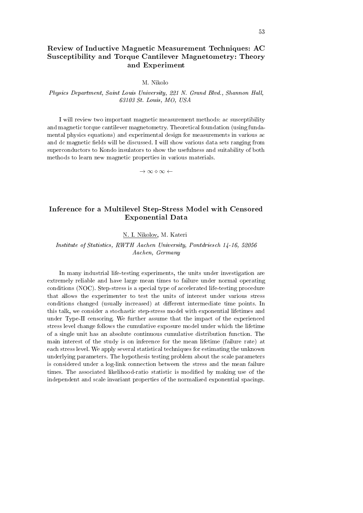# Review of Inductive Magnetic Measurement Techniques: AC Susceptibility and Torque Cantilever Magnetometry: Theory and Experiment

M. Nikolo

### Physics Department, Saint Louis University, 221 N. Grand Blvd., Shannon Hall, 63103 St. Louis, MO, USA

I will review two important magnetic measurement methods: ac susceptibility and magnetic torque cantilever magnetometry. Theoretical foundation (using fundamental physics equations) and experimental design for measurements in various ac and dc magnetic fields will be discussed. I will show various data sets ranging from superconductors to Kondo insulators to show the usefulness and suitability of both methods to learn new magnetic properties in various materials.

*→ ∞ ⋄ ∞ ←*

## Inference for a Multilevel Step-Stress Model with Censored Exponential Data

#### N. I. Nikolov, M. Kateri

Institute of Statistics, RWTH Aachen University, Pontdriesch 14-16, 52056 Aachen, Germany

In many industrial life-testing experiments, the units under investigation are extremely reliable and have large mean times to failure under normal operating conditions (NOC). Step-stress is a special type of accelerated life-testing procedure that allows the experimenter to test the units of interest under various stress conditions changed (usually increased) at different intermediate time points. In this talk, we consider a stochastic step-stress model with exponential lifetimes and under Type-II censoring. We further assume that the impact of the experienced stress level change follows the cumulative exposure model under which the lifetime of a single unit has an absolute continuous cumulative distribution function. The main interest of the study is on inference for the mean lifetime (failure rate) at each stress level. We apply several statistical techniques for estimating the unknown underlying parameters. The hypothesis testing problem about the scale parameters is considered under a log-link connection between the stress and the mean failure times. The associated likelihood-ratio statistic is modified by making use of the independent and scale invariant properties of the normalized exponential spacings.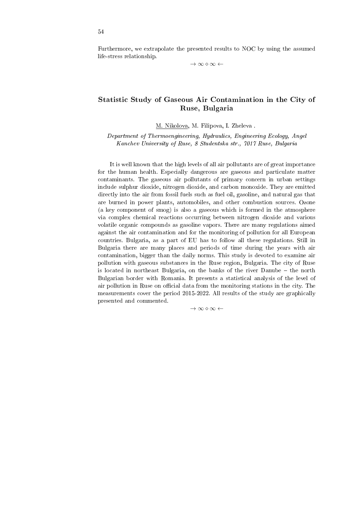Furthermore, we extrapolate the presented results to NOC by using the assumed life-stress relationship.

*→ ∞ ⋄ ∞ ←*

# Statistic Study of Gaseous Air Contamination in the City of Ruse, Bulgaria

M. Nikolova, M. Filipova, I. Zheleva .

Department of Thermoengineering, Hydraulics, Engineering Ecology, Angel Kanchev University of Ruse, 8 Studentska str., 7017 Ruse, Bulgaria

It is well known that the high levels of all air pollutants are of great importance for the human health. Especially dangerous are gaseous and particulate matter contaminants. The gaseous air pollutants of primary concern in urban settings include sulphur dioxide, nitrogen dioxide, and carbon monoxide. They are emitted directly into the air from fossil fuels such as fuel oil, gasoline, and natural gas that are burned in power plants, automobiles, and other combustion sources. Ozone (a key component of smog) is also a gaseous which is formed in the atmosphere via complex chemical reactions occurring between nitrogen dioxide and various volatile organic compounds as gasoline vapors. There are many regulations aimed against the air contamination and for the monitoring of pollution for all European countries. Bulgaria, as a part of EU has to follow all these regulations. Still in Bulgaria there are many places and periods of time during the years with air contamination, bigger than the daily norms. This study is devoted to examine air pollution with gaseous substances in the Ruse region, Bulgaria. The city of Ruse is located in northeast Bulgaria, on the banks of the river Danube - the north Bulgarian border with Romania. It presents a statistical analysis of the level of air pollution in Ruse on official data from the monitoring stations in the city. The measurements cover the period 2015-2022. All results of the study are graphically presented and commented.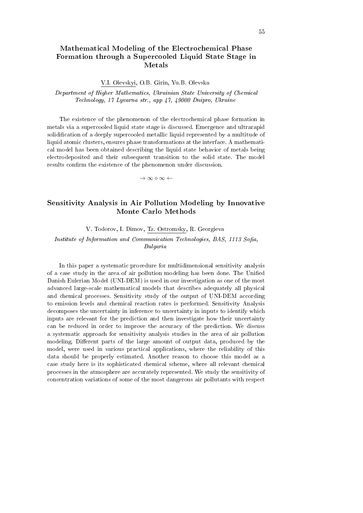# Mathematical Modeling of the Electrochemical Phase Formation through a Supercooled Liquid State Stage in Metals

V.I. Olevskyi, O.B. Girin, Yu.B. Olevska

Department of Higher Mathematics, Ukrainian State University of Chemical Technology, 17 Lyvarna str., app 47, 49000 Dnipro, Ukraine

The existence of the phenomenon of the electrochemical phase formation in metals via a supercooled liquid state stage is discussed. Emergence and ultrarapid solidication of a deeply supercooled metallic liquid represented by a multitude of liquid atomic clusters, ensures phase transformations at the interface. A mathematical model has been obtained describing the liquid state behavior of metals being electrodeposited and their subsequent transition to the solid state. The model results confirm the existence of the phenomenon under discussion.

*→ ∞ ⋄ ∞ ←*

## Sensitivity Analysis in Air Pollution Modeling by Innovative Monte Carlo Methods

V. Todorov, I. Dimov, Tz. Ostromsky, R. Georgieva

Institute of Information and Communication Technologies, BAS, 1113 Sofia, Bulgaria

In this paper a systematic procedure for multidimensional sensitivity analysis of a case study in the area of air pollution modeling has been done. The Unified Danish Eulerian Model (UNI-DEM) is used in our investigation as one of the most advanced large-scale mathematical models that describes adequately all physical and chemical processes. Sensitivity study of the output of UNI-DEM according to emission levels and chemical reaction rates is performed. Sensitivity Analysis decomposes the uncertainty in inference to uncertainty in inputs to identify which inputs are relevant for the prediction and then investigate how their uncertainty can be reduced in order to improve the accuracy of the prediction. We discuss a systematic approach for sensitivity analysis studies in the area of air pollution modeling. Different parts of the large amount of output data, produced by the model, were used in various practical applications, where the reliability of this data should be properly estimated. Another reason to choose this model as a case study here is its sophisticated chemical scheme, where all relevant chemical processes in the atmosphere are accurately represented. We study the sensitivity of concentration variations of some of the most dangerous air pollutants with respect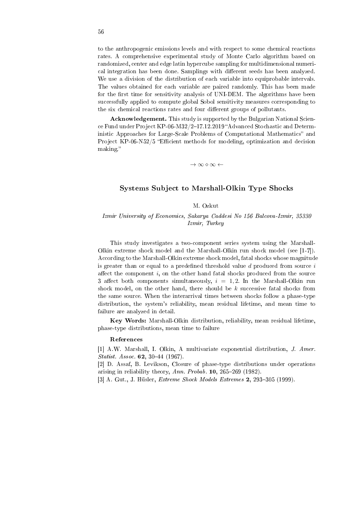to the anthropogenic emissions levels and with respect to some chemical reactions rates. A comprehensive experimental study of Monte Carlo algorithm based on randomized, center and edge latin hypercube sampling for multidimensional numerical integration has been done. Samplings with different seeds has been analyzed. We use a division of the distribution of each variable into equiprobable intervals. The values obtained for each variable are paired randomly. This has been made for the first time for sensitivity analysis of UNI-DEM. The algorithms have been successfully applied to compute global Sobol sensitivity measures corresponding to the six chemical reactions rates and four different groups of pollutants.

Acknowledgement. This study is supported by the Bulgarian National Science Fund under Project KP-06-M32/2-17.12.2019 "Advanced Stochastic and Deterministic Approaches for Large-Scale Problems of Computational Mathematics" and Project  $KP-06-N52/5$  "Efficient methods for modeling, optimization and decision making.

*→ ∞ ⋄ ∞ ←*

### Systems Subject to Marshall-Olkin Type Shocks

### M. Ozkut

Izmir University of Economics, Sakarya Caddesi No 156 Balcova-Izmir, 35330 Izmir, Turkey

This study investigates a two-component series system using the Marshall-Olkin extreme shock model and the Marshall-Olkin run shock model (see [1-7]). According to the Marshall-Olkin extreme shock model, fatal shocks whose magnitude is greater than or equal to a predened threshold value *d* produced from source *i* affect the component  $i$ , on the other hand fatal shocks produced from the source 3 affect both components simultaneously,  $i = 1, 2$ . In the Marshall-Olkin run shock model, on the other hand, there should be *k* successive fatal shocks from the same source. When the interarrival times between shocks follow a phase-type distribution, the system's reliability, mean residual lifetime, and mean time to failure are analyzed in detail.

Key Words: Marshall-Olkin distribution, reliability, mean residual lifetime, phase-type distributions, mean time to failure

#### References

[1] A.W. Marshall, I. Olkin, A multivariate exponential distribution, J. Amer. Statist. Assoc.  $62, 30-44$  (1967).

[2] D. Assaf, B. Levikson, Closure of phase-type distributions under operations arising in reliability theory, Ann. Probab.  $10, 265-269$  (1982).

[3] A. Gut., J. Hüsler, *Extreme Shock Models Extremes* 2, 293-305 (1999).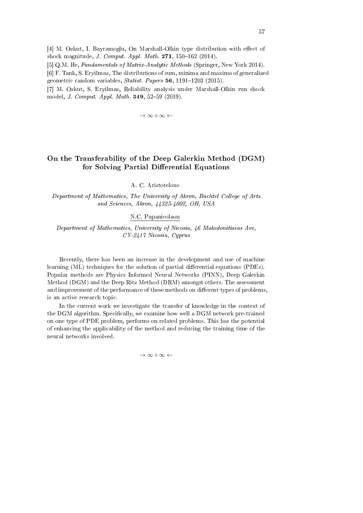[4] M. Ozkut, I. Bayramoglu, On Marshall-Olkin type distribution with effect of shock magnitude, *J. Comput. Appl. Math.* 271, 150-162 (2014).

[5] Q.M. He, Fundamentals of Matrix-Analytic Methods (Springer, New York 2014).

[6] F. Tank, S. Eryilmaz, The distributions of sum, minima and maxima of generalized geometric random variables, *Statist. Papers* 56, 1191-1203 (2015).

[7] M. Ozkut, S. Eryilmaz, Reliability analysis under Marshall-Olkin run shock model, *J. Comput. Appl. Math.* 349, 52-59 (2019).

*→ ∞ ⋄ ∞ ←*

# On the Transferability of the Deep Galerkin Method (DGM) for Solving Partial Differential Equations

A. C. Aristotelous

Department of Mathematics, The University of Akron, Buchtel College of Arts and Sciences, Akron, 44325-4002, OH, USA

N.C. Papanicolaou

Department of Mathematics, University of Nicosia, 46 Makedonitissas Ave, CY-2417 Nicosia, Cyprus

Recently, there has been an increase in the development and use of machine learning (ML) techniques for the solution of partial differential equations (PDEs). Popular methods are Physics Informed Neural Networks (PINN), Deep Galerkin Method (DGM) and the Deep Ritz Method (DRM) amongst others. The assessment and improvement of the performance of these methods on different types of problems, is an active research topic.

In the current work we investigate the transfer of knowledge in the context of the DGM algorithm. Specifically, we examine how well a DGM network pre-trained on one type of PDE problem, performs on related problems. This has the potential of enhancing the applicability of the method and reducing the training time of the neural networks involved.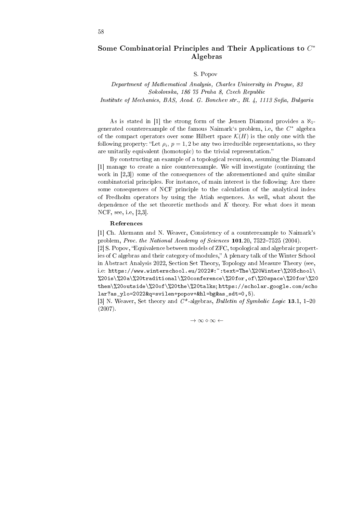## Some Combinatorial Principles and Their Applications to *C ∗* Algebras

### S. Popov

# Department of Mathematical Analysis, Charles University in Prague, 83 Sokolovska, 186 75 Praha 8, Czech Republic

Institute of Mechanics, BAS, Acad. G. Bonchev str., Bl. 4, 1113 Sofia, Bulgaria

As is stated in [1] the strong form of the Jensen Diamond provides a *ℵ*1 generated counterexample of the famous Naimark`s problem, i.e, the *C <sup>∗</sup>* algebra of the compact operators over some Hilbert space  $\mathcal{K}(H)$  is the only one with the following property: "Let  $\rho_i$ ,  $p = 1,2$  be any two irreducible representations, so they are unitarily equivalent (homotopic) to the trivial representation.

By constructing an example of a topological recursion, assuming the Diamand [1] manage to create a nice counterexample. We will investigate (continuing the work in [2,3]) some of the consequences of the aforementioned and quite similar combinatorial principles. For instance, of main interest is the following: Are there some consequences of NCF principle to the calculation of the analytical index of Fredholm operators by using the Atiah sequences. As well, what about the dependence of the set theoretic methods and  $K$  theory. For what does it mean NCF, see, i.e, [2,3].

#### References

[1] Ch. Akemann and N. Weaver, Consistency of a counterexample to Naimark's problem, Proc. the National Academy of Sciences  $101.20$ , 7522-7525 (2004). [2] S. Popov, "Equivalence between models of ZFC, topological and algebraic properties of C algebras and their category of modules," A plenary talk of the Winter School in Abstract Analysis 2022, Section Set Theory, Topology and Measure Theory (see, i.e: https://www.winterschool.eu/2022#:":text=The\%20Winter\%20School\ %20is\%20a\%20traditional\%20conference\%20for,of\%20space\%20for\%20 them\%20outside\%20of\%20the\%20talks; https://scholar.google.com/scho lar?as\_ylo=2022&q=svilen+popov+&hl=bg&as\_sdt=0,5).

[3] N. Weaver, Set theory and  $C^*$ -algebras, *Bulletin of Symbolic Logic* 13.1, 1-20 (2007).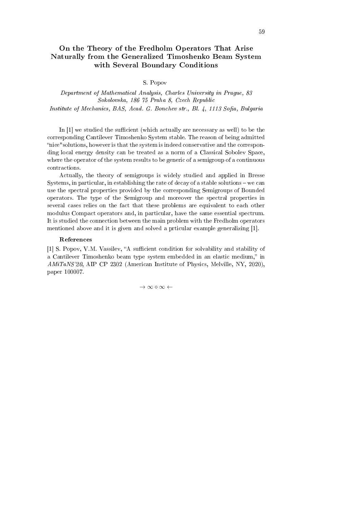# On the Theory of the Fredholm Operators That Arise Naturally from the Generalized Timoshenko Beam System with Several Boundary Conditions

S. Popov

Department of Mathematical Analysis, Charles University in Prague, 83 Sokolovska, 186 75 Praha 8, Czech Republic Institute of Mechanics, BAS, Acad. G. Bonchev str., Bl. 4, 1113 Sofia, Bulgaria

In  $[1]$  we studied the sufficient (which actually are necessary as well) to be the corresponding Cantilever Timoshenko System stable. The reason of being admitted nice"solutions, however is that the system is indeed conservative and the corresponding local energy density can be treated as a norm of a Classical Sobolev Space, where the operator of the system results to be generic of a semigroup of a continuous contractions.

Actually, the theory of semigroups is widely studied and applied in Bresse Systems, in particular, in establishing the rate of decay of a stable solutions  $-$  we can use the spectral properties provided by the corresponding Semigroups of Bounded operators. The type of the Semigroup and moreover the spectral properties in several cases relies on the fact that these problems are equivalent to each other modulus Compact operators and, in particular, have the same essential spectrum. It is studied the connection between the main problem with the Fredholm operators mentioned above and it is given and solved a prticular example generalizing [1].

#### References

[1] S. Popov, V.M. Vassilev, "A sufficient condition for solvability and stability of a Cantilever Timoshenko beam type system embedded in an elastic medium," in AMiTaNS'20, AIP CP 2302 (American Institute of Physics, Melville, NY, 2020), paper 100007.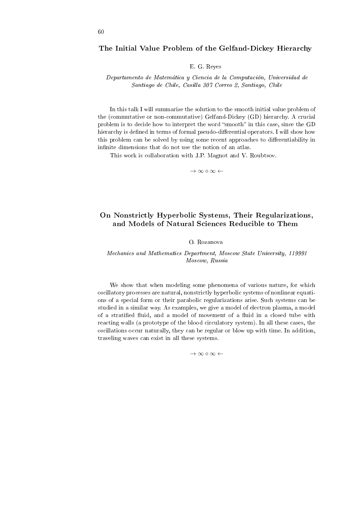### The Initial Value Problem of the Gelfand-Dickey Hierarchy

E. G. Reyes

Departamento de Matematica y Ciencia de la Computacion, Universidad de Santiago de Chile, Casilla 307 Correo 2, Santiago, Chile

In this talk I will summarize the solution to the smooth initial value problem of the (commutative or non-commutative) Gelfand-Dickey (GD) hierarchy. A crucial problem is to decide how to interpret the word "smooth" in this case, since the GD hierarchy is defined in terms of formal pseudo-differential operators. I will show how this problem can be solved by using some recent approaches to differentiability in infinite dimensions that do not use the notion of an atlas.

This work is collaboration with J.P. Magnot and V. Roubtsov.

*→ ∞ ⋄ ∞ ←*

## On Nonstrictly Hyperbolic Systems, Their Regularizations, and Models of Natural Sciences Reducible to Them

#### O. Rozanova

### Mechanics and Mathematics Department, Moscow State University, 119991 Moscow, Russia

We show that when modeling some phenomena of various nature, for which oscillatory processes are natural, nonstrictly hyperbolic systems of nonlinear equations of a special form or their parabolic regularizations arise. Such systems can be studied in a similar way. As examples, we give a model of electron plasma, a model of a stratified fluid, and a model of movement of a fluid in a closed tube with reacting walls (a prototype of the blood circulatory system). In all these cases, the oscillations occur naturally, they can be regular or blow up with time. In addition, traveling waves can exist in all these systems.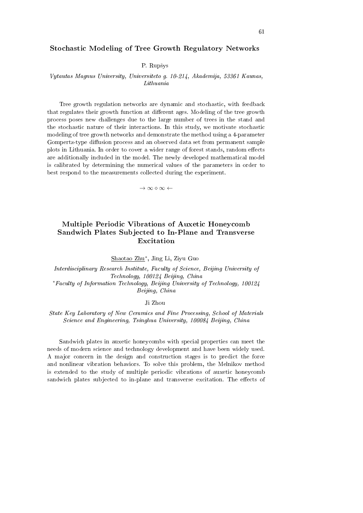### Stochastic Modeling of Tree Growth Regulatory Networks

P. Rupšys

## Vytautas Magnus University, Universiteto g. 10-214, Akademija, 53361 Kaunas, Lithuania

Tree growth regulation networks are dynamic and stochastic, with feedback that regulates their growth function at different ages. Modeling of the tree growth process poses new challenges due to the large number of trees in the stand and the stochastic nature of their interactions. In this study, we motivate stochastic modeling of tree growth networks and demonstrate the method using a 4-parameter Gompertz-type diffusion process and an observed data set from permanent sample plots in Lithuania. In order to cover a wider range of forest stands, random effects are additionally included in the model. The newly developed mathematical model is calibrated by determining the numerical values of the parameters in order to best respond to the measurements collected during the experiment.

*→ ∞ ⋄ ∞ ←*

# Multiple Periodic Vibrations of Auxetic Honeycomb Sandwich Plates Subjected to In-Plane and Transverse Excitation

Shaotao Zhu*<sup>∗</sup>* , Jing Li, Ziyu Guo

Interdisciplinary Research Institute, Faculty of Science, Beijing University of Technology, 100124 Beijing, China *<sup>∗</sup>*Faculty of Information Technology, Beijing University of Technology, 100124

Beijing, China

Ji Zhou

State Key Laboratory of New Ceramics and Fine Processing, School of Materials Science and Engineering, Tsinghua University, 100084 Beijing, China

Sandwich plates in auxetic honeycombs with special properties can meet the needs of modern science and technology development and have been widely used. A major concern in the design and construction stages is to predict the force and nonlinear vibration behaviors. To solve this problem, the Melnikov method is extended to the study of multiple periodic vibrations of auxetic honeycomb sandwich plates subjected to in-plane and transverse excitation. The effects of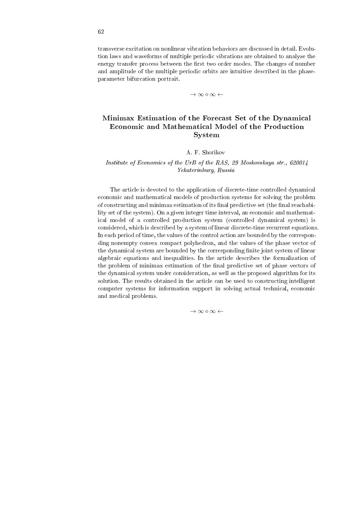transverse excitation on nonlinear vibration behaviors are discussed in detail. Evolution laws and waveforms of multiple periodic vibrations are obtained to analyze the energy transfer process between the first two order modes. The changes of number and amplitude of the multiple periodic orbits are intuitive described in the phaseparameter bifurcation portrait.

*→ ∞ ⋄ ∞ ←*

# Minimax Estimation of the Forecast Set of the Dynamical Economic and Mathematical Model of the Production System

### A. F. Shorikov

## Institute of Economics of the UrB of the RAS, 29 Moskovskaya str., 620014 Yekaterinburg, Russia

The article is devoted to the application of discrete-time controlled dynamical economic and mathematical models of production systems for solving the problem of constructing and minimax estimation of its final predictive set (the final reachability set of the system). On a given integer time interval, an economic and mathematical model of a controlled production system (controlled dynamical system) is considered, which is described by a system of linear discrete-time recurrent equations. In each period of time, the values of the control action are bounded by the corresponding nonempty convex compact polyhedron, and the values of the phase vector of the dynamical system are bounded by the corresponding finite joint system of linear algebraic equations and inequalities. In the article describes the formalization of the problem of minimax estimation of the final predictive set of phase vectors of the dynamical system under consideration, as well as the proposed algorithm for its solution. The results obtained in the article can be used to constructing intelligent computer systems for information support in solving actual technical, economic and medical problems.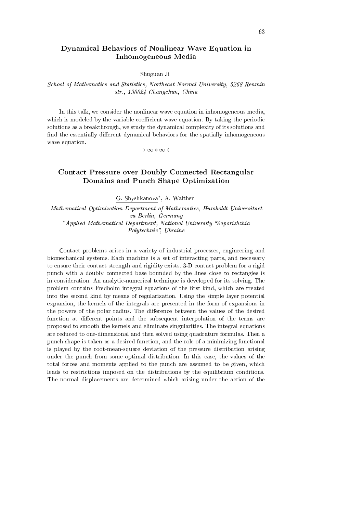## Dynamical Behaviors of Nonlinear Wave Equation in Inhomogeneous Media

#### Shuguan Ji

## School of Mathematics and Statistics, Northeast Normal University, 5268 Renmin str., 130024 Changchun, China

In this talk, we consider the nonlinear wave equation in inhomogeneous media, which is modeled by the variable coefficient wave equation. By taking the periodic solutions as a breakthrough, we study the dynamical complexity of its solutions and find the essentially different dynamical behaviors for the spatially inhomogeneous wave equation.

*→ ∞ ⋄ ∞ ←*

# Contact Pressure over Doubly Connected Rectangular Domains and Punch Shape Optimization

G. Shyshkanova*<sup>∗</sup>* , A. Walther

Mathematical Optimization Department of Mathematics, Humboldt-Universitaet zu Berlin, Germany *\**Applied Mathematical Department, National University "Zaporizhzhia Polytechnic", Ukraine

Contact problems arises in a variety of industrial processes, engineering and biomechanical systems. Each machine is a set of interacting parts, and necessary to ensure their contact strength and rigidity exists. 3-D contact problem for a rigid punch with a doubly connected base bounded by the lines close to rectangles is in consideration. An analytic-numerical technique is developed for its solving. The problem contains Fredholm integral equations of the first kind, which are treated into the second kind by means of regularization. Using the simple layer potential expansion, the kernels of the integrals are presented in the form of expansions in the powers of the polar radius. The difference between the values of the desired function at different points and the subsequent interpolation of the terms are proposed to smooth the kernels and eliminate singularities. The integral equations are reduced to one-dimensional and then solved using quadrature formulas. Then a punch shape is taken as a desired function, and the role of a minimizing functional is played by the root-mean-square deviation of the pressure distribution arising under the punch from some optimal distribution. In this case, the values of the total forces and moments applied to the punch are assumed to be given, which leads to restrictions imposed on the distributions by the equilibrium conditions. The normal displacements are determined which arising under the action of the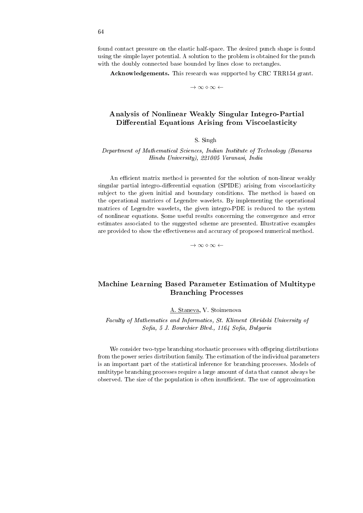found contact pressure on the elastic half-space. The desired punch shape is found using the simple layer potential. A solution to the problem is obtained for the punch with the doubly connected base bounded by lines close to rectangles.

Acknowledgements. This research was supported by CRC TRR154 grant.

*→ ∞ ⋄ ∞ ←*

## Analysis of Nonlinear Weakly Singular Integro-Partial Differential Equations Arising from Viscoelasticity

#### S. Singh

### Department of Mathematical Sciences, Indian Institute of Technology (Banaras Hindu University), 221005 Varanasi, India

An efficient matrix method is presented for the solution of non-linear weakly singular partial integro-differential equation (SPIDE) arising from viscoelasticity subject to the given initial and boundary conditions. The method is based on the operational matrices of Legendre wavelets. By implementing the operational matrices of Legendre wavelets, the given integro-PDE is reduced to the system of nonlinear equations. Some useful results concerning the convergence and error estimates associated to the suggested scheme are presented. Illustrative examples are provided to show the effectiveness and accuracy of proposed numerical method.

*→ ∞ ⋄ ∞ ←*

# Machine Learning Based Parameter Estimation of Multitype Branching Processes

### A. Staneva, V. Stoimenova

Faculty of Mathematics and Informatics, St. Kliment Ohridski University of Sofia, 5 J. Bourchier Blvd., 1164 Sofia, Bulgaria

We consider two-type branching stochastic processes with offspring distributions from the power series distribution family. The estimation of the individual parameters is an important part of the statistical inference for branching processes. Models of multitype branching processes require a large amount of data that cannot always be observed. The size of the population is often insucient. The use of approximation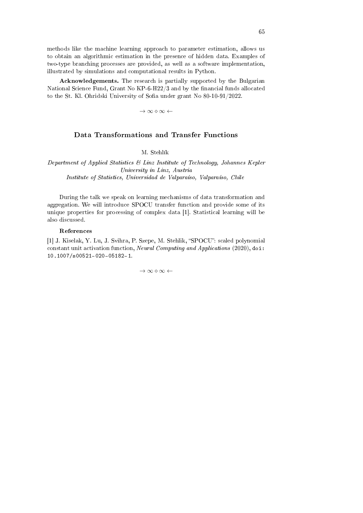methods like the machine learning approach to parameter estimation, allows us to obtain an algorithmic estimation in the presence of hidden data. Examples of two-type branching processes are provided, as well as a software implementation, illustrated by simulations and computational results in Python.

Acknowledgements. The research is partially supported by the Bulgarian National Science Fund, Grant No  $KP-6-H22/3$  and by the financial funds allocated to the St. Kl. Ohridski University of Sofia under grant No 80-10-91/2022.

*→ ∞ ⋄ ∞ ←*

## Data Transformations and Transfer Functions

M. Stehlík

Department of Applied Statistics & Linz Institute of Technology, Johannes Kepler University in Linz, Austria Institute of Statistics, Universidad de Valparaíso, Valparaíso, Chile

During the talk we speak on learning mechanisms of data transformation and aggregation. We will introduce SPOCU transfer function and provide some of its unique properties for processing of complex data [1]. Statistical learning will be also discussed.

### References

[1] J. Kiselak, Y. Lu, J. Svihra, P. Szepe, M. Stehlik, "SPOCU": scaled polynomial constant unit activation function, Neural Computing and Applications (2020), doi: 10.1007/s00521-020-05182-1.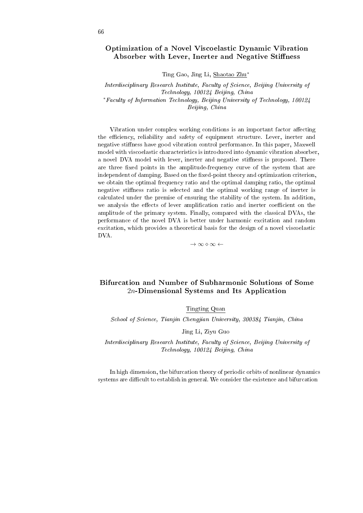## Optimization of a Novel Viscoelastic Dynamic Vibration Absorber with Lever, Inerter and Negative Stiffness

Ting Gao, Jing Li, Shaotao Zhu*<sup>∗</sup>*

Interdisciplinary Research Institute, Faculty of Science, Beijing University of Technology, 100124 Beijing, China *<sup>∗</sup>*Faculty of Information Technology, Beijing University of Technology, 100124 Beijing, China

Vibration under complex working conditions is an important factor affecting the efficiency, reliability and safety of equipment structure. Lever, inerter and negative stiness have good vibration control performance. In this paper, Maxwell model with viscoelastic characteristics is introduced into dynamic vibration absorber, a novel DVA model with lever, inerter and negative stiffness is proposed. There are three fixed points in the amplitude-frequency curve of the system that are independent of damping. Based on the fixed-point theory and optimization criterion, we obtain the optimal frequency ratio and the optimal damping ratio, the optimal negative stiness ratio is selected and the optimal working range of inerter is calculated under the premise of ensuring the stability of the system. In addition, we analysis the effects of lever amplification ratio and inerter coefficient on the amplitude of the primary system. Finally, compared with the classical DVAs, the performance of the novel DVA is better under harmonic excitation and random excitation, which provides a theoretical basis for the design of a novel viscoelastic DVA.

*→ ∞ ⋄ ∞ ←*

# Bifurcation and Number of Subharmonic Solutions of Some 2*n*-Dimensional Systems and Its Application

Tingting Quan

School of Science, Tianjin Chengjian University, 300384 Tianjin, China

Jing Li, Ziyu Guo

Interdisciplinary Research Institute, Faculty of Science, Beijing University of Technology, 100124 Beijing, China

In high dimension, the bifurcation theory of periodic orbits of nonlinear dynamics systems are difficult to establish in general. We consider the existence and bifurcation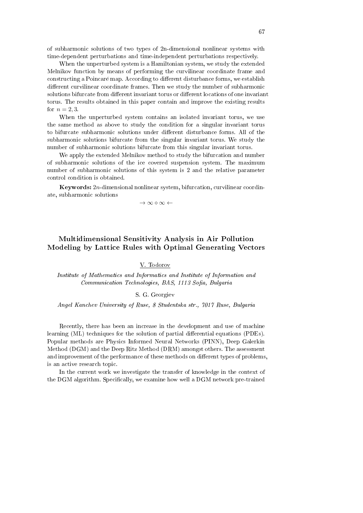of subharmonic solutions of two types of 2n-dimensional nonlinear systems with time-dependent perturbations and time-independent perturbations respectively.

When the unperturbed system is a Hamiltonian system, we study the extended Melnikov function by means of performing the curvilinear coordinate frame and constructing a Poincaré map. According to different disturbance forms, we establish different curvilinear coordinate frames. Then we study the number of subharmonic solutions bifurcate from different invariant torus or different locations of one invariant torus. The results obtained in this paper contain and improve the existing results for  $n = 2, 3$ .

When the unperturbed system contains an isolated invariant torus, we use the same method as above to study the condition for a singular invariant torus to bifurcate subharmonic solutions under different disturbance forms. All of the subharmonic solutions bifurcate from the singular invariant torus. We study the number of subharmonic solutions bifurcate from this singular invariant torus.

We apply the extended Melnikov method to study the bifurcation and number of subharmonic solutions of the ice covered suspension system. The maximum number of subharmonic solutions of this system is 2 and the relative parameter control condition is obtained.

Keywords: 2*n*-dimensional nonlinear system, bifurcation, curvilinear coordinate, subharmonic solutions

*→ ∞ ⋄ ∞ ←*

# Multidimensional Sensitivity Analysis in Air Pollution Modeling by Lattice Rules with Optimal Generating Vectors

### V. Todorov

Institute of Mathematics and Informatics and Institute of Information and Communication Technologies, BAS, 1113 Sofia, Bulgaria

#### S. G. Georgiev

Angel Kanchev University of Ruse, 8 Studentska str., 7017 Ruse, Bulgaria

Recently, there has been an increase in the development and use of machine learning (ML) techniques for the solution of partial differential equations (PDEs). Popular methods are Physics Informed Neural Networks (PINN), Deep Galerkin Method (DGM) and the Deep Ritz Method (DRM) amongst others. The assessment and improvement of the performance of these methods on different types of problems, is an active research topic.

In the current work we investigate the transfer of knowledge in the context of the DGM algorithm. Specifically, we examine how well a DGM network pre-trained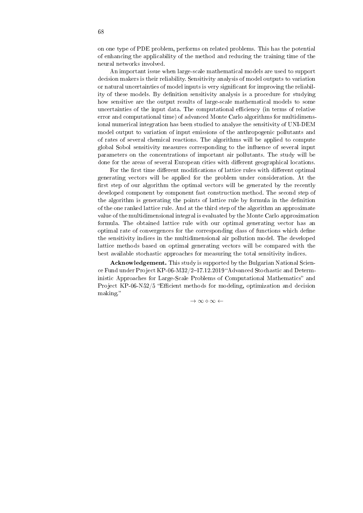on one type of PDE problem, performs on related problems. This has the potential of enhancing the applicability of the method and reducing the training time of the neural networks involved.

An important issue when large-scale mathematical models are used to support decision makers is their reliability. Sensitivity analysis of model outputs to variation or natural uncertainties of model inputs is very signicant for improving the reliability of these models. By definition sensitivity analysis is a procedure for studying how sensitive are the output results of large-scale mathematical models to some uncertainties of the input data. The computational efficiency (in terms of relative error and computational time) of advanced Monte Carlo algorithms for multidimensional numerical integration has been studied to analyze the sensitivity of UNI-DEM model output to variation of input emissions of the anthropogenic pollutants and of rates of several chemical reactions. The algorithms will be applied to compute global Sobol sensitivity measures corresponding to the influence of several input parameters on the concentrations of important air pollutants. The study will be done for the areas of several European cities with different geographical locations.

For the first time different modifications of lattice rules with different optimal generating vectors will be applied for the problem under consideration. At the first step of our algorithm the optimal vectors will be generated by the recently developed component by component fast construction method. The second step of the algorithm is generating the points of lattice rule by formula in the denition of the one ranked lattice rule. And at the third step of the algorithm an approximate value of the multidimensional integral is evaluated by the Monte Carlo approximation formula. The obtained lattice rule with our optimal generating vector has an optimal rate of convergences for the corresponding class of functions which define the sensitivity indices in the multidimensional air pollution model. The developed lattice methods based on optimal generating vectors will be compared with the best available stochastic approaches for measuring the total sensitivity indices.

Acknowledgement. This study is supported by the Bulgarian National Science Fund under Project KP-06-M32/2-17.12.2019 "Advanced Stochastic and Deterministic Approaches for Large-Scale Problems of Computational Mathematics" and Project KP-06-N52/5 "Efficient methods for modeling, optimization and decision making.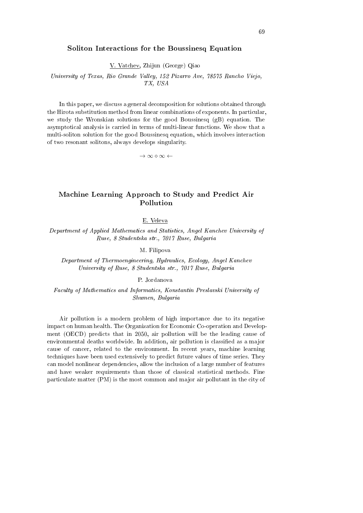### Soliton Interactions for the Boussinesq Equation

V. Vatchev, Zhijun (George) Qiao

University of Texas, Rio Grande Valley, 152 Pizarro Ave, 78575 Rancho Viejo, TX, USA

In this paper, we discuss a general decomposition for solutions obtained through the Hirota substitution method from linear combinations of exponents. In particular, we study the Wronskian solutions for the good Boussinesq  $(gB)$  equation. The asymptotical analysis is carried in terms of multi-linear functions. We show that a multi-soliton solution for the good Boussinesq equation, which involves interaction of two resonant solitons, always develops singularity.

*→ ∞ ⋄ ∞ ←*

# Machine Learning Approach to Study and Predict Air Pollution

E. Veleva

Department of Applied Mathematics and Statistics, Angel Kanchev University of Ruse, 8 Studentska str., 7017 Ruse, Bulgaria

M. Filipova

Department of Thermoengineering, Hydraulics, Ecology, Angel Kanchev University of Ruse, 8 Studentska str., 7017 Ruse, Bulgaria

P. Jordanova

Faculty of Mathematics and Informatics, Konstantin Preslavski University of Shumen, Bulgaria

Air pollution is a modern problem of high importance due to its negative impact on human health. The Organization for Economic Co-operation and Development (OECD) predicts that in 2050, air pollution will be the leading cause of environmental deaths worldwide. In addition, air pollution is classified as a major cause of cancer, related to the environment. In recent years, machine learning techniques have been used extensively to predict future values of time series. They can model nonlinear dependencies, allow the inclusion of a large number of features and have weaker requirements than those of classical statistical methods. Fine particulate matter (PM) is the most common and major air pollutant in the city of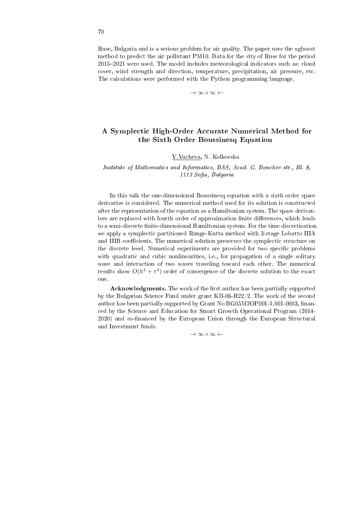Ruse, Bulgaria and is a serious problem for air quality. The paper uses the xgboost method to predict the air pollutant PM10. Data for the city of Ruse for the period 20152021 were used. The model includes meteorological indicators such as: cloud cover, wind strength and direction, temperature, precipitation, air pressure, etc. The calculations were performed with the Python programming language.

*→ ∞ ⋄ ∞ ←*

# A Symplectic High-Order Accurate Numerical Method for the Sixth Order Boussinesq Equation

V.Vucheva, N. Kolkovska

Institute of Mathematics and Informatics, BAS, Acad. G. Bonchev str., Bl. 8,  $1113$  Sofia, Bulgaria

In this talk the one-dimensional Boussinesq equation with a sixth order space derivative is considered. The numerical method used for its solution is constructed after the representation of the equation as a Hamiltonian system. The space derivatives are replaced with fourth order of approximation finite differences, which leads to a semi-discrete finite-dimensional Hamiltonian system. For the time discretization we apply a symplectic partitioned Runge-Kutta method with 3-stage Lobatto IIIA and IIIB coefficients. The numerical solution preserves the symplectic structure on the discrete level. Numerical experiments are provided for two specific problems with quadratic and cubic nonlinearities, i.e., for propagation of a single solitary wave and interaction of two waves traveling toward each other. The numerical results show  $O(h^4 + \tau^4)$  order of convergence of the discrete solution to the exact one.

Acknowledgments. The work of the first author has been partially supported by the Bulgarian Science Fund under grant KΠ-06-H22/2. The work of the second author has been partially supported by Grant No BG05M2OP001-1.001-0003, financed by the Science and Education for Smart Growth Operational Program (2014- 2020) and co-financed by the European Union through the European Structural and Investment funds.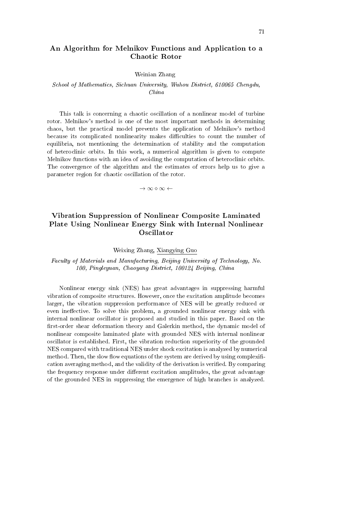## An Algorithm for Melnikov Functions and Application to a Chaotic Rotor

#### Weinian Zhang

### School of Mathematics, Sichuan University, Wuhou District, 610065 Chengdu, China

This talk is concerning a chaotic oscillation of a nonlinear model of turbine rotor. Melnikov's method is one of the most important methods in determining chaos, but the practical model prevents the application of Melnikov's method because its complicated nonlinearity makes difficulties to count the number of equilibria, not mentioning the determination of stability and the computation of heteroclinic orbits. In this work, a numerical algorithm is given to compute Melnikov functions with an idea of avoiding the computation of heteroclinic orbits. The convergence of the algorithm and the estimates of errors help us to give a parameter region for chaotic oscillation of the rotor.

*→ ∞ ⋄ ∞ ←*

# Vibration Suppression of Nonlinear Composite Laminated Plate Using Nonlinear Energy Sink with Internal Nonlinear Oscillator

Weixing Zhang, Xiangying Guo

Faculty of Materials and Manufacturing, Beijing University of Technology, No. 100, Pingleyuan, Chaoyang District, 100124 Beijing, China

Nonlinear energy sink (NES) has great advantages in suppressing harmful vibration of composite structures. However, once the excitation amplitude becomes larger, the vibration suppression performance of NES will be greatly reduced or even ineffective. To solve this problem, a grounded nonlinear energy sink with internal nonlinear oscillator is proposed and studied in this paper. Based on the first-order shear deformation theory and Galerkin method, the dynamic model of nonlinear composite laminated plate with grounded NES with internal nonlinear oscillator is established. First, the vibration reduction superiority of the grounded NES compared with traditional NES under shock excitation is analyzed by numerical method. Then, the slow flow equations of the system are derived by using complexification averaging method, and the validity of the derivation is verified. By comparing the frequency response under different excitation amplitudes, the great advantage of the grounded NES in suppressing the emergence of high branches is analyzed.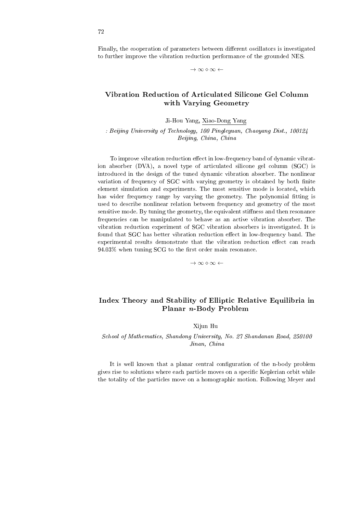Finally, the cooperation of parameters between different oscillators is investigated to further improve the vibration reduction performance of the grounded NES.

*→ ∞ ⋄ ∞ ←*

## Vibration Reduction of Articulated Silicone Gel Column with Varying Geometry

Ji-Hou Yang, Xiao-Dong Yang

: Beijing University of Technology, 100 Pingleyuan, Chaoyang Dist., 100124 Beijing, China, China

To improve vibration reduction effect in low-frequency band of dynamic vibration absorber (DVA), a novel type of articulated silicone gel column (SGC) is introduced in the design of the tuned dynamic vibration absorber. The nonlinear variation of frequency of SGC with varying geometry is obtained by both finite element simulation and experiments. The most sensitive mode is located, which has wider frequency range by varying the geometry. The polynomial fitting is used to describe nonlinear relation between frequency and geometry of the most sensitive mode. By tuning the geometry, the equivalent stiness and then resonance frequencies can be manipulated to behave as an active vibration absorber. The vibration reduction experiment of SGC vibration absorbers is investigated. It is found that SGC has better vibration reduction effect in low-frequency band. The experimental results demonstrate that the vibration reduction effect can reach  $94.03\%$  when tuning SCG to the first order main resonance.

*→ ∞ ⋄ ∞ ←*

## Index Theory and Stability of Elliptic Relative Equilibria in Planar n-Body Problem

### Xijun Hu

School of Mathematics, Shandong University, No. 27 Shandanan Road, 250100 Jinan, China

It is well known that a planar central configuration of the n-body problem gives rise to solutions where each particle moves on a specific Keplerian orbit while the totality of the particles move on a homographic motion. Following Meyer and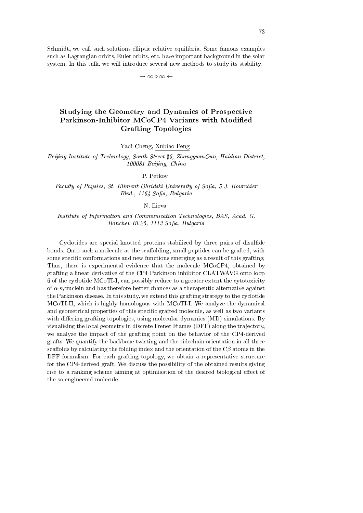Schmidt, we call such solutions elliptic relative equilibria. Some famous examples such as Lagrangian orbits, Euler orbits, etc. have important background in the solar system. In this talk, we will introduce several new methods to study its stability.

*→ ∞ ⋄ ∞ ←*

# Studying the Geometry and Dynamics of Prospective Parkinson-Inhibitor MCoCP4 Variants with Modified Grafting Topologies

Yadi Cheng, Xubiao Peng

Beijing Institute of Technology, South Street *♯*5, ZhongguanCun, Haidian District, 100081 Beijing, China

P. Petkov

Faculty of Physics, St. Kliment Ohridski University of Sofia, 5 J. Bourchier  $Blvd.$ , 1164 Sofia, Bulgaria

N. Ilieva

Institute of Information and Communication Technologies, BAS, Acad. G. Bonchev Bl.25, 1113 Sofia, Bulgaria

Cyclotides are special knotted proteins stabilized by three pairs of disulfide bonds. Onto such a molecule as the scaffolding, small peptides can be grafted, with some specific conformations and new functions emerging as a result of this grafting. Thus, there is experimental evidence that the molecule MCoCP4, obtained by grafting a linear derivative of the CP4 Parkinson inhibitor CLATWAVG onto loop 6 of the cyclotide MCoTI-I, can possibly reduce to a greater extent the cytotoxicity of *α*-synuclein and has therefore better chances as a therapeutic alternative against the Parkinson disease. In this study, we extend this grafting strategy to the cyclotide MCoTI-II, which is highly homologous with MCoTI-I. We analyze the dynamical and geometrical properties of this specific grafted molecule, as well as two variants with differing grafting topologies, using molecular dynamics  $(MD)$  simulations. By visualizing the local geometry in discrete Frenet Frames (DFF) along the trajectory, we analyze the impact of the grafting point on the behavior of the CP4-derived grafts. We quantify the backbone twisting and the sidechain orientation in all three scaffolds by calculating the folding index and the orientation of the  $C\beta$  atoms in the DFF formalism. For each grafting topology, we obtain a representative structure for the CP4-derived graft. We discuss the possibility of the obtained results giving rise to a ranking scheme aiming at optimisation of the desired biological effect of the so-engineered molecule.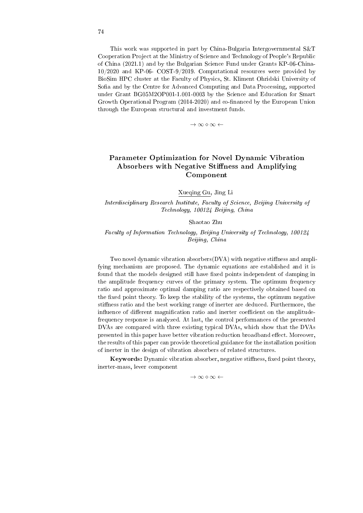This work was supported in part by China-Bulgaria Intergovernmental S&T Cooperation Project at the Ministry of Science and Technology of People's Republic of China (2021.1) and by the Bulgarian Science Fund under Grants KP-06-China-10/2020 and KP-06- COST-9/2019. Computational resources were provided by BioSim HPC cluster at the Faculty of Physics, St. Kliment Ohridski University of Sofia and by the Centre for Advanced Computing and Data Processing, supported under Grant BG05M2OP001-1.001-0003 by the Science and Education for Smart Growth Operational Program (2014-2020) and co-financed by the European Union through the European structural and investment funds.

*→ ∞ ⋄ ∞ ←*

# Parameter Optimization for Novel Dynamic Vibration Absorbers with Negative Stiffness and Amplifying Component

Xueqing Gu, Jing Li

Interdisciplinary Research Institute, Faculty of Science, Beijing University of Technology, 100124 Beijing, China

Shaotao Zhu

### Faculty of Information Technology, Beijing University of Technology, 100124 Beijing, China

Two novel dynamic vibration absorbers $(DVA)$  with negative stiffness and amplifying mechanism are proposed. The dynamic equations are established and it is found that the models designed still have fixed points independent of damping in the amplitude frequency curves of the primary system. The optimum frequency ratio and approximate optimal damping ratio are respectively obtained based on the fixed point theory. To keep the stability of the systems, the optimum negative stiness ratio and the best working range of inerter are deduced. Furthermore, the influence of different magnification ratio and inerter coefficient on the amplitudefrequency response is analyzed. At last, the control performances of the presented DVAs are compared with three existing typical DVAs, which show that the DVAs presented in this paper have better vibration reduction broadband effect. Moreover, the results of this paper can provide theoretical guidance for the installation position of inerter in the design of vibration absorbers of related structures.

Keywords: Dynamic vibration absorber, negative stiffness, fixed point theory, inerter-mass, lever component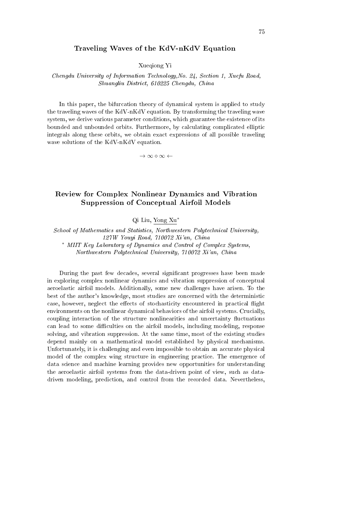### Traveling Waves of the KdV-nKdV Equation

Xueqiong Yi

#### Chengdu University of Information Technology,No. 24, Section 1, Xuefu Road, Shuangliu District, 610225 Chengdu, China

In this paper, the bifurcation theory of dynamical system is applied to study the traveling waves of the KdV-nKdV equation. By transforming the traveling wave system, we derive various parameter conditions, which guarantee the existence of its bounded and unbounded orbits. Furthermore, by calculating complicated elliptic integrals along these orbits, we obtain exact expressions of all possible traveling wave solutions of the KdV-nKdV equation.

*→ ∞ ⋄ ∞ ←*

## Review for Complex Nonlinear Dynamics and Vibration Suppression of Conceptual Airfoil Models

Qi Liu, Yong Xu*<sup>∗</sup>*

School of Mathematics and Statistics, Northwestern Polytechnical University, 127W Youyi Road, 710072 Xi'an, China *<sup>∗</sup>* MIIT Key Laboratory of Dynamics and Control of Complex Systems, Northwestern Polytechnical University, 710072 Xi'an, China

During the past few decades, several significant progresses have been made in exploring complex nonlinear dynamics and vibration suppression of conceptual aeroelastic airfoil models. Additionally, some new challenges have arisen. To the best of the author's knowledge, most studies are concerned with the deterministic case, however, neglect the effects of stochasticity encountered in practical flight environments on the nonlinear dynamical behaviors of the airfoil systems. Crucially, coupling interaction of the structure nonlinearities and uncertainty fluctuations can lead to some difficulties on the airfoil models, including modeling, response solving, and vibration suppression. At the same time, most of the existing studies depend mainly on a mathematical model established by physical mechanisms. Unfortunately, it is challenging and even impossible to obtain an accurate physical model of the complex wing structure in engineering practice. The emergence of data science and machine learning provides new opportunities for understanding the aeroelastic airfoil systems from the data-driven point of view, such as datadriven modeling, prediction, and control from the recorded data. Nevertheless,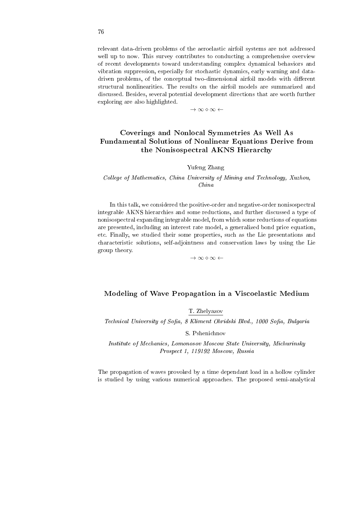relevant data-driven problems of the aeroelastic airfoil systems are not addressed well up to now. This survey contributes to conducting a comprehensive overview of recent developments toward understanding complex dynamical behaviors and vibration suppression, especially for stochastic dynamics, early warning and datadriven problems, of the conceptual two-dimensional airfoil models with different structural nonlinearities. The results on the airfoil models are summarized and discussed. Besides, several potential development directions that are worth further exploring are also highlighted.

*→ ∞ ⋄ ∞ ←*

# Coverings and Nonlocal Symmetries As Well As Fundamental Solutions of Nonlinear Equations Derive from the Nonisospectral AKNS Hierarchy

#### Yufeng Zhang

### College of Mathematics, China University of Mining and Technology, Xuzhou, China

In this talk, we considered the positive-order and negative-order nonisospectral integrable AKNS hierarchies and some reductions, and further discussed a type of nonisospectral expanding integrable model, from which some reductions of equations are presented, including an interest rate model, a generalized bond price equation, etc. Finally, we studied their some properties, such as the Lie presentations and characteristic solutions, self-adjointness and conservation laws by using the Lie group theory.

*→ ∞ ⋄ ∞ ←*

#### Modeling of Wave Propagation in a Viscoelastic Medium

T. Zhelyazov

Technical University of Sofia, 8 Kliment Ohridski Blvd., 1000 Sofia, Bulgaria

S. Pshenichnov

Institute of Mechanics, Lomonosov Moscow State University, Michurinsky Prospect 1, 119192 Moscow, Russia

The propagation of waves provoked by a time dependant load in a hollow cylinder is studied by using various numerical approaches. The proposed semi-analytical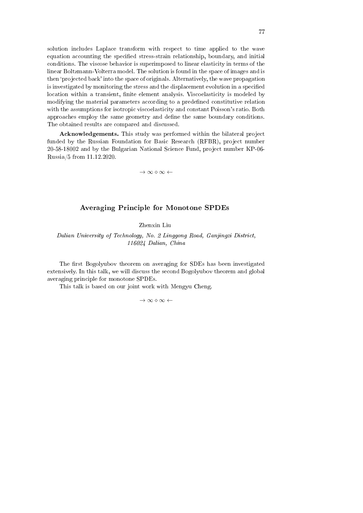solution includes Laplace transform with respect to time applied to the wave equation accounting the specified stress-strain relationship, boundary, and initial conditions. The viscose behavior is superimposed to linear elasticity in terms of the linear Boltzmann-Volterra model. The solution is found in the space of images and is then `projected back' into the space of originals. Alternatively, the wave propagation is investigated by monitoring the stress and the displacement evolution in a specified location within a transient, finite element analysis. Viscoelasticity is modeled by modifying the material parameters according to a predened constitutive relation with the assumptions for isotropic viscoelasticity and constant Poisson's ratio. Both approaches employ the same geometry and define the same boundary conditions. The obtained results are compared and discussed.

Acknowledgements. This study was performed within the bilateral project funded by the Russian Foundation for Basic Research (RFBR), project number 20-58-18002 and by the Bulgarian National Science Fund, project number KP-06- Russia/5 from 11.12.2020.

*→ ∞ ⋄ ∞ ←*

### Averaging Principle for Monotone SPDEs

Zhenxin Liu

Dalian University of Technology, No. 2 Linggong Road, Ganjingzi District, 116024 Dalian, China

The first Bogolyubov theorem on averaging for SDEs has been investigated extensively. In this talk, we will discuss the second Bogolyubov theorem and global averaging principle for monotone SPDEs.

This talk is based on our joint work with Mengyu Cheng.

*→ ∞ ⋄ ∞ ←*